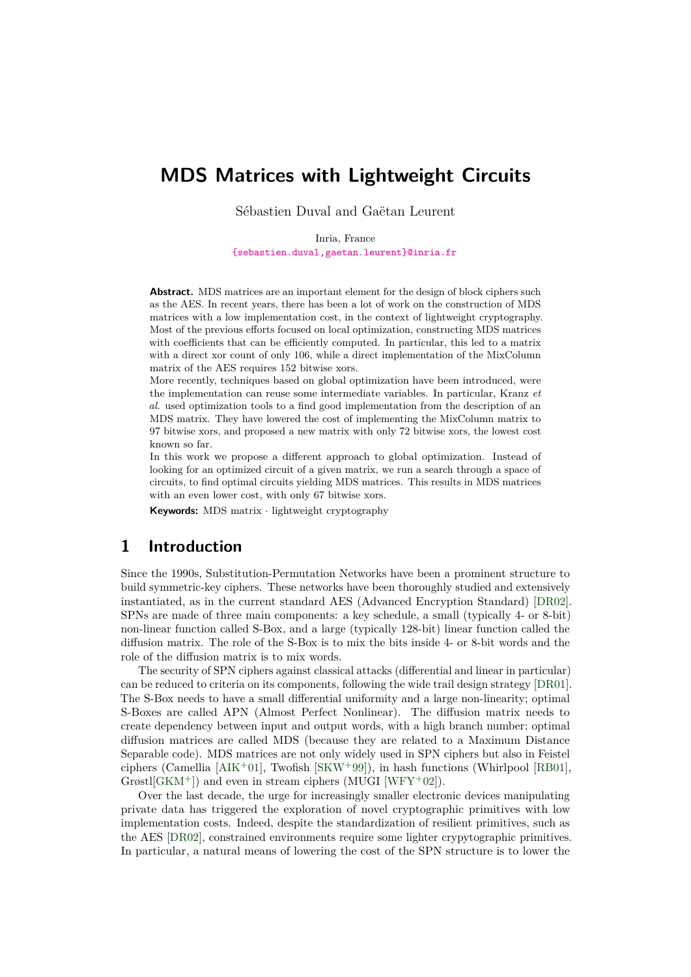## **MDS Matrices with Lightweight Circuits**

Sébastien Duval and Gaëtan Leurent

Inria, France [{sebastien.duval,gaetan.leurent}@inria.fr](mailto:sebastien.duval@inria.fr,gaetan.leurent@inria.fr)

Abstract. MDS matrices are an important element for the design of block ciphers such as the AES. In recent years, there has been a lot of work on the construction of MDS matrices with a low implementation cost, in the context of lightweight cryptography. Most of the previous efforts focused on local optimization, constructing MDS matrices with coefficients that can be efficiently computed. In particular, this led to a matrix with a direct xor count of only 106, while a direct implementation of the MixColumn matrix of the AES requires 152 bitwise xors.

More recently, techniques based on global optimization have been introduced, were the implementation can reuse some intermediate variables. In particular, Kranz *et al.* used optimization tools to a find good implementation from the description of an MDS matrix. They have lowered the cost of implementing the MixColumn matrix to 97 bitwise xors, and proposed a new matrix with only 72 bitwise xors, the lowest cost known so far.

In this work we propose a different approach to global optimization. Instead of looking for an optimized circuit of a given matrix, we run a search through a space of circuits, to find optimal circuits yielding MDS matrices. This results in MDS matrices with an even lower cost, with only 67 bitwise xors.

**Keywords:** MDS matrix · lightweight cryptography

## **1 Introduction**

Since the 1990s, Substitution-Permutation Networks have been a prominent structure to build symmetric-key ciphers. These networks have been thoroughly studied and extensively instantiated, as in the current standard AES (Advanced Encryption Standard) [\[DR02\]](#page-21-0). SPNs are made of three main components: a key schedule, a small (typically 4- or 8-bit) non-linear function called S-Box, and a large (typically 128-bit) linear function called the diffusion matrix. The role of the S-Box is to mix the bits inside 4- or 8-bit words and the role of the diffusion matrix is to mix words.

The security of SPN ciphers against classical attacks (differential and linear in particular) can be reduced to criteria on its components, following the wide trail design strategy [\[DR01\]](#page-21-1). The S-Box needs to have a small differential uniformity and a large non-linearity; optimal S-Boxes are called APN (Almost Perfect Nonlinear). The diffusion matrix needs to create dependency between input and output words, with a high branch number; optimal diffusion matrices are called MDS (because they are related to a Maximum Distance Separable code). MDS matrices are not only widely used in SPN ciphers but also in Feistel ciphers (Camellia [\[AIK](#page-20-0)<sup>+</sup>01], Twofish [\[SKW](#page-22-0)<sup>+99]</sup>), in hash functions (Whirlpool [\[RB01\]](#page-22-1),  $G \text{r}\omega t$ [\[GKM](#page-21-2)<sup>+</sup>]) and even in stream ciphers (MUGI [\[WFY](#page-23-0)<sup>+</sup>02]).

Over the last decade, the urge for increasingly smaller electronic devices manipulating private data has triggered the exploration of novel cryptographic primitives with low implementation costs. Indeed, despite the standardization of resilient primitives, such as the AES [\[DR02\]](#page-21-0), constrained environments require some lighter crypytographic primitives. In particular, a natural means of lowering the cost of the SPN structure is to lower the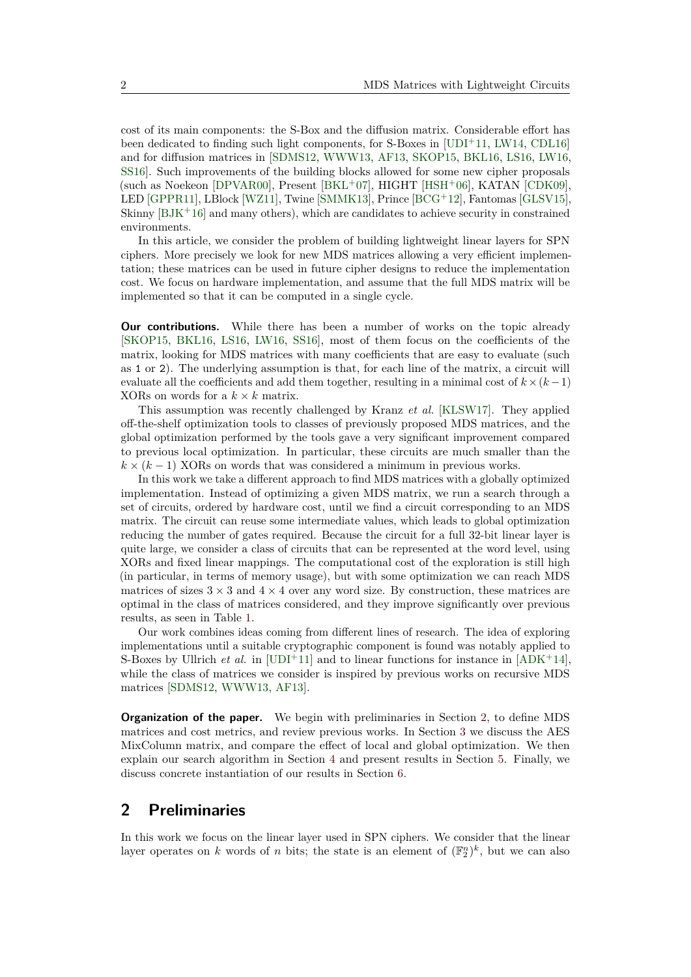cost of its main components: the S-Box and the diffusion matrix. Considerable effort has been dedicated to finding such light components, for S-Boxes in [\[UDI](#page-23-1)<sup>+</sup>11, [LW14,](#page-22-2) [CDL16\]](#page-21-3) and for diffusion matrices in [\[SDMS12,](#page-22-3) [WWW13,](#page-23-2) [AF13,](#page-20-1) [SKOP15,](#page-22-4) [BKL16,](#page-20-2) [LS16,](#page-22-5) [LW16,](#page-22-6) [SS16\]](#page-23-3). Such improvements of the building blocks allowed for some new cipher proposals (such as Noekeon [\[DPVAR00\]](#page-21-4), Present  $[BKL^+07]$  $[BKL^+07]$ , HIGHT  $[HSH^+06]$  $[HSH^+06]$ , KATAN [\[CDK09\]](#page-21-6), LED [\[GPPR11\]](#page-21-7), LBlock [\[WZ11\]](#page-23-4), Twine [\[SMMK13\]](#page-22-7), Prince [\[BCG](#page-20-4)<sup>+</sup>12], Fantomas [\[GLSV15\]](#page-21-8), Skinny  $[BJK^+16]$  $[BJK^+16]$  and many others), which are candidates to achieve security in constrained environments.

In this article, we consider the problem of building lightweight linear layers for SPN ciphers. More precisely we look for new MDS matrices allowing a very efficient implementation; these matrices can be used in future cipher designs to reduce the implementation cost. We focus on hardware implementation, and assume that the full MDS matrix will be implemented so that it can be computed in a single cycle.

**Our contributions.** While there has been a number of works on the topic already [\[SKOP15,](#page-22-4) [BKL16,](#page-20-2) [LS16,](#page-22-5) [LW16,](#page-22-6) [SS16\]](#page-23-3), most of them focus on the coefficients of the matrix, looking for MDS matrices with many coefficients that are easy to evaluate (such as 1 or 2). The underlying assumption is that, for each line of the matrix, a circuit will evaluate all the coefficients and add them together, resulting in a minimal cost of  $k \times (k-1)$ XORs on words for a  $k \times k$  matrix.

This assumption was recently challenged by Kranz *et al.* [\[KLSW17\]](#page-22-8). They applied off-the-shelf optimization tools to classes of previously proposed MDS matrices, and the global optimization performed by the tools gave a very significant improvement compared to previous local optimization. In particular, these circuits are much smaller than the  $k \times (k-1)$  XORs on words that was considered a minimum in previous works.

In this work we take a different approach to find MDS matrices with a globally optimized implementation. Instead of optimizing a given MDS matrix, we run a search through a set of circuits, ordered by hardware cost, until we find a circuit corresponding to an MDS matrix. The circuit can reuse some intermediate values, which leads to global optimization reducing the number of gates required. Because the circuit for a full 32-bit linear layer is quite large, we consider a class of circuits that can be represented at the word level, using XORs and fixed linear mappings. The computational cost of the exploration is still high (in particular, in terms of memory usage), but with some optimization we can reach MDS matrices of sizes  $3 \times 3$  and  $4 \times 4$  over any word size. By construction, these matrices are optimal in the class of matrices considered, and they improve significantly over previous results, as seen in Table [1.](#page-2-0)

Our work combines ideas coming from different lines of research. The idea of exploring implementations until a suitable cryptographic component is found was notably applied to S-Boxes by Ullrich *et al.* in [\[UDI](#page-23-1)<sup>+</sup>11] and to linear functions for instance in  $[ADK^+14]$  $[ADK^+14]$ , while the class of matrices we consider is inspired by previous works on recursive MDS matrices [\[SDMS12,](#page-22-3) [WWW13,](#page-23-2) [AF13\]](#page-20-1).

**Organization of the paper.** We begin with preliminaries in Section [2,](#page-1-0) to define MDS matrices and cost metrics, and review previous works. In Section [3](#page-7-0) we discuss the AES MixColumn matrix, and compare the effect of local and global optimization. We then explain our search algorithm in Section [4](#page-9-0) and present results in Section [5.](#page-13-0) Finally, we discuss concrete instantiation of our results in Section [6.](#page-17-0)

## <span id="page-1-0"></span>**2 Preliminaries**

In this work we focus on the linear layer used in SPN ciphers. We consider that the linear layer operates on *k* words of *n* bits; the state is an element of  $(\mathbb{F}_2^n)^k$ , but we can also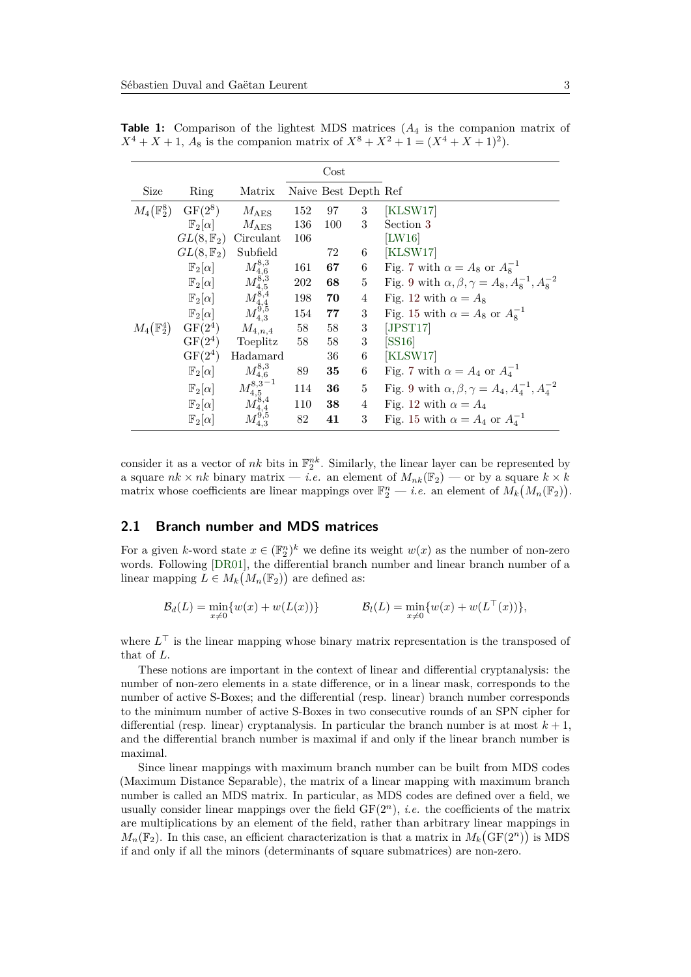<span id="page-2-0"></span>

|                       |                                  |                                        |     | $\cos t$        |                      |                                                               |
|-----------------------|----------------------------------|----------------------------------------|-----|-----------------|----------------------|---------------------------------------------------------------|
| Size                  | Ring                             | Matrix                                 |     |                 | Naive Best Depth Ref |                                                               |
| $M_4(\mathbb{F}_2^8)$ | $GF(2^8)$                        | $M_{\rm AES}$                          | 152 | 97 —            | 3                    | KLSW17                                                        |
|                       | $\mathbb{F}_2[\alpha]$           | $M_{\rm AES}$                          | 136 | 100             | 3                    | Section 3                                                     |
|                       | $GL(8,\mathbb{F}_2)$             | Circulant                              | 106 |                 |                      | $ {\rm LW16} $                                                |
|                       | $GL(8,\mathbb{F}_2)$             | Subfield                               |     | 72              | 6                    | [KLSW17]                                                      |
|                       | $\mathbb{F}_2[\alpha]$           |                                        | 161 | 67 —            |                      | 6 Fig. 7 with $\alpha = A_8$ or $A_8^{-1}$                    |
|                       | $\mathbb{F}_2[\alpha]$           | $M^{8,3}_{4,6}$<br>$M^{8,3}_{4,5}$     | 202 | 68 —            | 5 <sub>5</sub>       | Fig. 9 with $\alpha, \beta, \gamma = A_8, A_8^{-1}, A_8^{-2}$ |
|                       | $\mathbb{F}_2[\alpha]$           | $M_{4,4}^{\tilde{8},4}\ M_{4,3}^{9,5}$ | 198 | 70              | 4                    | Fig. 12 with $\alpha = A_8$                                   |
|                       | $\mathbb{F}_2[\alpha]$           |                                        | 154 | 77              | 3 <sup>1</sup>       | Fig. 15 with $\alpha = A_8$ or $A_8^{-1}$                     |
|                       | $M_4(\mathbb{F}_2^4)$ GF $(2^4)$ | $M_{4,n,4}$                            | 58  | 58              | 3 <sup>1</sup>       | [JPST17]                                                      |
|                       | $GF(2^4)$                        | Toeplitz                               | 58  | 58              | 3 <sup>1</sup>       | [SS16]                                                        |
|                       | $GF(2^4)$                        | Hadamard                               |     | 36 —            | 6                    | [KLSW17]                                                      |
|                       | $\mathbb{F}_2[\alpha]$           | $M_{4,6}^{8,3}$                        | 89  | 35              | 6                    | Fig. 7 with $\alpha = A_4$ or $A_4^{-1}$                      |
|                       | $\mathbb{F}_2[\alpha]$           | $M_{4.5}^{8,3-1}$                      | 114 | 36              | 5 <sub>5</sub>       | Fig. 9 with $\alpha, \beta, \gamma = A_4, A_4^{-1}, A_4^{-2}$ |
|                       | $\mathbb{F}_2[\alpha]$           | $\vec{M}^{8,4}_{4,4}$                  | 110 | 38 <sup>°</sup> | 4                    | Fig. 12 with $\alpha = A_4$                                   |
|                       | $\mathbb{F}_2[\alpha]$           |                                        | 82  | 41              | 3                    | Fig. 15 with $\alpha = A_4$ or $A_4^{-1}$                     |

**Table 1:** Comparison of the lightest MDS matrices (*A*<sup>4</sup> is the companion matrix of  $X^4 + X + 1$ ,  $A_8$  is the companion matrix of  $X^8 + X^2 + 1 = (X^4 + X + 1)^2$ .

consider it as a vector of  $nk$  bits in  $\mathbb{F}_2^{nk}$ . Similarly, the linear layer can be represented by a square  $nk \times nk$  binary matrix — *i.e.* an element of  $M_{nk}(\mathbb{F}_2)$  — or by a square  $k \times k$ matrix whose coefficients are linear mappings over  $\mathbb{F}_2^n$  — *i.e.* an element of  $M_k(M_n(\mathbb{F}_2)).$ 

#### **2.1 Branch number and MDS matrices**

For a given *k*-word state  $x \in (\mathbb{F}_2^n)^k$  we define its weight  $w(x)$  as the number of non-zero words. Following [\[DR01\]](#page-21-1), the differential branch number and linear branch number of a linear mapping  $L \in M_k(M_n(\mathbb{F}_2))$  are defined as:

$$
\mathcal{B}_d(L) = \min_{x \neq 0} \{ w(x) + w(L(x)) \} \qquad \qquad \mathcal{B}_l(L) = \min_{x \neq 0} \{ w(x) + w(L^{\top}(x)) \},
$$

where  $L<sup>⊤</sup>$  is the linear mapping whose binary matrix representation is the transposed of that of *L*.

These notions are important in the context of linear and differential cryptanalysis: the number of non-zero elements in a state difference, or in a linear mask, corresponds to the number of active S-Boxes; and the differential (resp. linear) branch number corresponds to the minimum number of active S-Boxes in two consecutive rounds of an SPN cipher for differential (resp. linear) cryptanalysis. In particular the branch number is at most  $k + 1$ , and the differential branch number is maximal if and only if the linear branch number is maximal.

Since linear mappings with maximum branch number can be built from MDS codes (Maximum Distance Separable), the matrix of a linear mapping with maximum branch number is called an MDS matrix. In particular, as MDS codes are defined over a field, we usually consider linear mappings over the field  $GF(2<sup>n</sup>)$ , *i.e.* the coefficients of the matrix are multiplications by an element of the field, rather than arbitrary linear mappings in  $M_n(\mathbb{F}_2)$ . In this case, an efficient characterization is that a matrix in  $M_k(\mathrm{GF}(2^n))$  is MDS if and only if all the minors (determinants of square submatrices) are non-zero.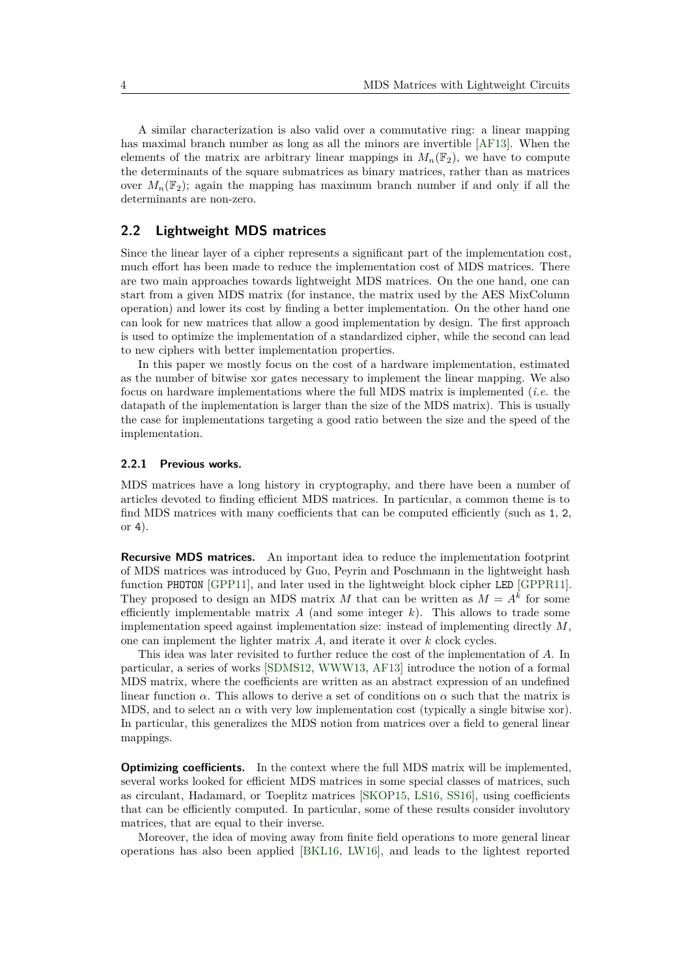A similar characterization is also valid over a commutative ring: a linear mapping has maximal branch number as long as all the minors are invertible [\[AF13\]](#page-20-1). When the elements of the matrix are arbitrary linear mappings in  $M_n(\mathbb{F}_2)$ , we have to compute the determinants of the square submatrices as binary matrices, rather than as matrices over  $M_n(\mathbb{F}_2)$ ; again the mapping has maximum branch number if and only if all the determinants are non-zero.

#### **2.2 Lightweight MDS matrices**

Since the linear layer of a cipher represents a significant part of the implementation cost, much effort has been made to reduce the implementation cost of MDS matrices. There are two main approaches towards lightweight MDS matrices. On the one hand, one can start from a given MDS matrix (for instance, the matrix used by the AES MixColumn operation) and lower its cost by finding a better implementation. On the other hand one can look for new matrices that allow a good implementation by design. The first approach is used to optimize the implementation of a standardized cipher, while the second can lead to new ciphers with better implementation properties.

In this paper we mostly focus on the cost of a hardware implementation, estimated as the number of bitwise xor gates necessary to implement the linear mapping. We also focus on hardware implementations where the full MDS matrix is implemented (*i.e.* the datapath of the implementation is larger than the size of the MDS matrix). This is usually the case for implementations targeting a good ratio between the size and the speed of the implementation.

#### **2.2.1 Previous works.**

MDS matrices have a long history in cryptography, and there have been a number of articles devoted to finding efficient MDS matrices. In particular, a common theme is to find MDS matrices with many coefficients that can be computed efficiently (such as 1, 2, or 4).

**Recursive MDS matrices.** An important idea to reduce the implementation footprint of MDS matrices was introduced by Guo, Peyrin and Poschmann in the lightweight hash function PHOTON [\[GPP11\]](#page-21-9), and later used in the lightweight block cipher LED [\[GPPR11\]](#page-21-7). They proposed to design an MDS matrix *M* that can be written as  $M = A^k$  for some efficiently implementable matrix *A* (and some integer *k*). This allows to trade some implementation speed against implementation size: instead of implementing directly *M*, one can implement the lighter matrix *A*, and iterate it over *k* clock cycles.

This idea was later revisited to further reduce the cost of the implementation of *A*. In particular, a series of works [\[SDMS12,](#page-22-3) [WWW13,](#page-23-2) [AF13\]](#page-20-1) introduce the notion of a formal MDS matrix, where the coefficients are written as an abstract expression of an undefined linear function  $\alpha$ . This allows to derive a set of conditions on  $\alpha$  such that the matrix is MDS, and to select an  $\alpha$  with very low implementation cost (typically a single bitwise xor). In particular, this generalizes the MDS notion from matrices over a field to general linear mappings.

**Optimizing coefficients.** In the context where the full MDS matrix will be implemented, several works looked for efficient MDS matrices in some special classes of matrices, such as circulant, Hadamard, or Toeplitz matrices [\[SKOP15,](#page-22-4) [LS16,](#page-22-5) [SS16\]](#page-23-3), using coefficients that can be efficiently computed. In particular, some of these results consider involutory matrices, that are equal to their inverse.

Moreover, the idea of moving away from finite field operations to more general linear operations has also been applied [\[BKL16,](#page-20-2) [LW16\]](#page-22-6), and leads to the lightest reported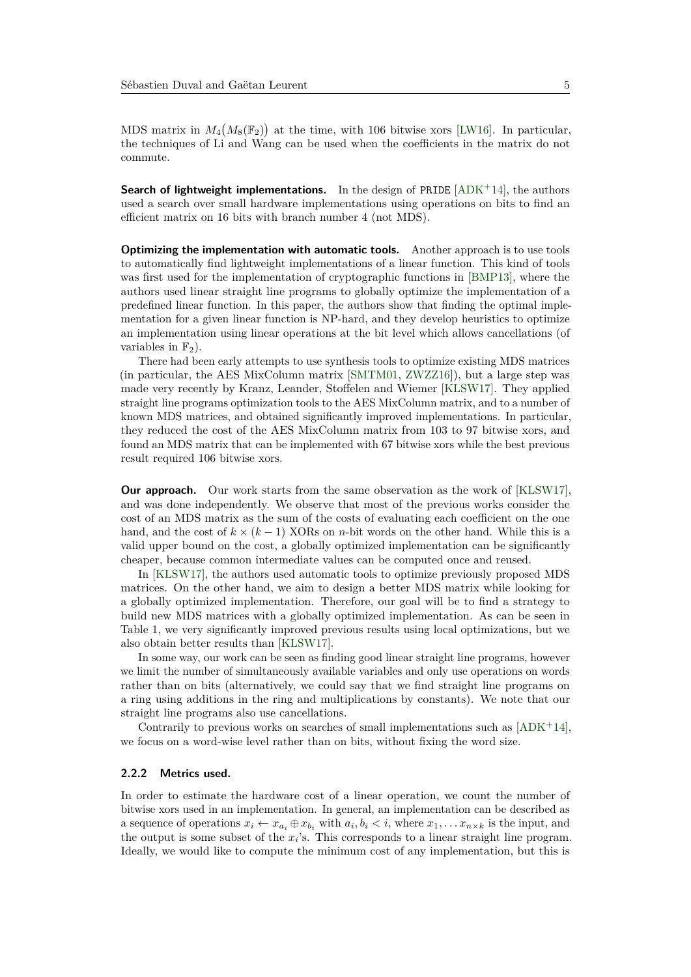MDS matrix in  $M_4(M_8(\mathbb{F}_2))$  at the time, with 106 bitwise xors [\[LW16\]](#page-22-6). In particular, the techniques of Li and Wang can be used when the coefficients in the matrix do not commute.

**Search of lightweight implementations.** In the design of PRIDE [\[ADK](#page-20-6)<sup>+</sup>14], the authors used a search over small hardware implementations using operations on bits to find an efficient matrix on 16 bits with branch number 4 (not MDS).

**Optimizing the implementation with automatic tools.** Another approach is to use tools to automatically find lightweight implementations of a linear function. This kind of tools was first used for the implementation of cryptographic functions in [\[BMP13\]](#page-20-7), where the authors used linear straight line programs to globally optimize the implementation of a predefined linear function. In this paper, the authors show that finding the optimal implementation for a given linear function is NP-hard, and they develop heuristics to optimize an implementation using linear operations at the bit level which allows cancellations (of variables in  $\mathbb{F}_2$ ).

There had been early attempts to use synthesis tools to optimize existing MDS matrices (in particular, the AES MixColumn matrix [\[SMTM01,](#page-23-5) [ZWZZ16\]](#page-23-6)), but a large step was made very recently by Kranz, Leander, Stoffelen and Wiemer [\[KLSW17\]](#page-22-8). They applied straight line programs optimization tools to the AES MixColumn matrix, and to a number of known MDS matrices, and obtained significantly improved implementations. In particular, they reduced the cost of the AES MixColumn matrix from 103 to 97 bitwise xors, and found an MDS matrix that can be implemented with 67 bitwise xors while the best previous result required 106 bitwise xors.

**Our approach.** Our work starts from the same observation as the work of [\[KLSW17\]](#page-22-8), and was done independently. We observe that most of the previous works consider the cost of an MDS matrix as the sum of the costs of evaluating each coefficient on the one hand, and the cost of  $k \times (k-1)$  XORs on *n*-bit words on the other hand. While this is a valid upper bound on the cost, a globally optimized implementation can be significantly cheaper, because common intermediate values can be computed once and reused.

In [\[KLSW17\]](#page-22-8), the authors used automatic tools to optimize previously proposed MDS matrices. On the other hand, we aim to design a better MDS matrix while looking for a globally optimized implementation. Therefore, our goal will be to find a strategy to build new MDS matrices with a globally optimized implementation. As can be seen in Table [1,](#page-2-0) we very significantly improved previous results using local optimizations, but we also obtain better results than [\[KLSW17\]](#page-22-8).

In some way, our work can be seen as finding good linear straight line programs, however we limit the number of simultaneously available variables and only use operations on words rather than on bits (alternatively, we could say that we find straight line programs on a ring using additions in the ring and multiplications by constants). We note that our straight line programs also use cancellations.

Contrarily to previous works on searches of small implementations such as  $[ADK^+14]$  $[ADK^+14]$ , we focus on a word-wise level rather than on bits, without fixing the word size.

#### **2.2.2 Metrics used.**

In order to estimate the hardware cost of a linear operation, we count the number of bitwise xors used in an implementation. In general, an implementation can be described as a sequence of operations  $x_i \leftarrow x_{a_i} \oplus x_{b_i}$  with  $a_i, b_i \lt i$ , where  $x_1, \ldots x_{n \times k}$  is the input, and the output is some subset of the  $x_i$ 's. This corresponds to a linear straight line program. Ideally, we would like to compute the minimum cost of any implementation, but this is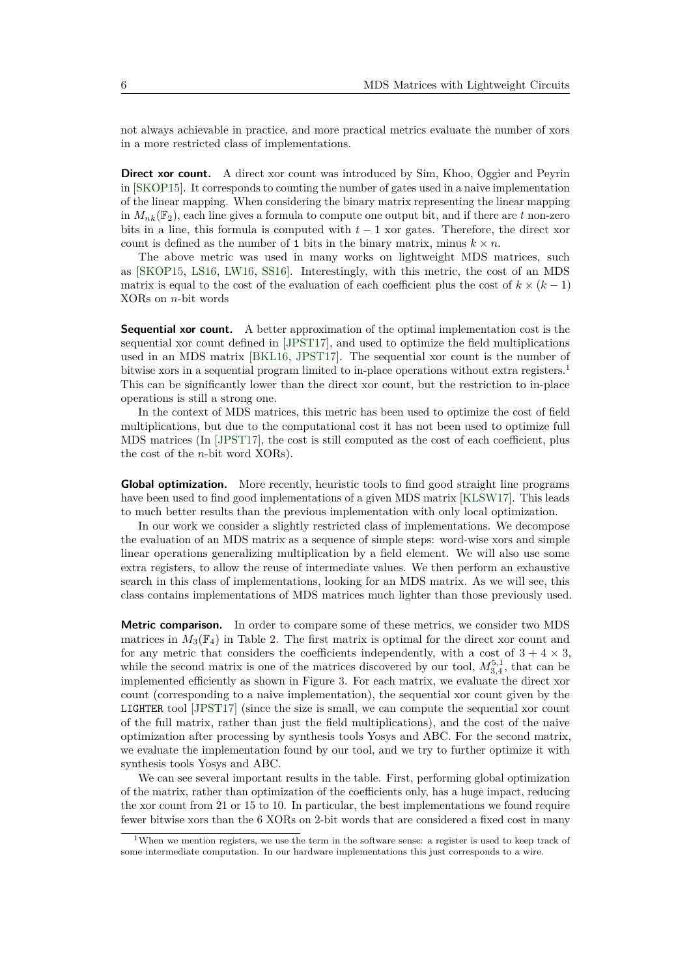not always achievable in practice, and more practical metrics evaluate the number of xors in a more restricted class of implementations.

**Direct xor count.** A direct xor count was introduced by Sim, Khoo, Oggier and Peyrin in [\[SKOP15\]](#page-22-4). It corresponds to counting the number of gates used in a naive implementation of the linear mapping. When considering the binary matrix representing the linear mapping in  $M_{nk}(\mathbb{F}_2)$ , each line gives a formula to compute one output bit, and if there are t non-zero bits in a line, this formula is computed with  $t-1$  xor gates. Therefore, the direct xor count is defined as the number of 1 bits in the binary matrix, minus  $k \times n$ .

The above metric was used in many works on lightweight MDS matrices, such as [\[SKOP15,](#page-22-4) [LS16,](#page-22-5) [LW16,](#page-22-6) [SS16\]](#page-23-3). Interestingly, with this metric, the cost of an MDS matrix is equal to the cost of the evaluation of each coefficient plus the cost of  $k \times (k-1)$ XORs on *n*-bit words

**Sequential xor count.** A better approximation of the optimal implementation cost is the sequential xor count defined in [\[JPST17\]](#page-22-9), and used to optimize the field multiplications used in an MDS matrix [\[BKL16,](#page-20-2) [JPST17\]](#page-22-9). The sequential xor count is the number of bitwise xors in a sequential program limited to in-place operations without extra registers.<sup>[1](#page-5-0)</sup> This can be significantly lower than the direct xor count, but the restriction to in-place operations is still a strong one.

In the context of MDS matrices, this metric has been used to optimize the cost of field multiplications, but due to the computational cost it has not been used to optimize full MDS matrices (In [\[JPST17\]](#page-22-9), the cost is still computed as the cost of each coefficient, plus the cost of the *n*-bit word XORs).

**Global optimization.** More recently, heuristic tools to find good straight line programs have been used to find good implementations of a given MDS matrix [\[KLSW17\]](#page-22-8). This leads to much better results than the previous implementation with only local optimization.

In our work we consider a slightly restricted class of implementations. We decompose the evaluation of an MDS matrix as a sequence of simple steps: word-wise xors and simple linear operations generalizing multiplication by a field element. We will also use some extra registers, to allow the reuse of intermediate values. We then perform an exhaustive search in this class of implementations, looking for an MDS matrix. As we will see, this class contains implementations of MDS matrices much lighter than those previously used.

**Metric comparison.** In order to compare some of these metrics, we consider two MDS matrices in  $M_3(\mathbb{F}_4)$  in Table [2.](#page-6-0) The first matrix is optimal for the direct xor count and for any metric that considers the coefficients independently, with a cost of  $3 + 4 \times 3$ , while the second matrix is one of the matrices discovered by our tool,  $M_{3,4}^{5,1}$ , that can be implemented efficiently as shown in Figure [3.](#page-27-0) For each matrix, we evaluate the direct xor count (corresponding to a naive implementation), the sequential xor count given by the LIGHTER tool [\[JPST17\]](#page-22-9) (since the size is small, we can compute the sequential xor count of the full matrix, rather than just the field multiplications), and the cost of the naive optimization after processing by synthesis tools Yosys and ABC. For the second matrix, we evaluate the implementation found by our tool, and we try to further optimize it with synthesis tools Yosys and ABC.

We can see several important results in the table. First, performing global optimization of the matrix, rather than optimization of the coefficients only, has a huge impact, reducing the xor count from 21 or 15 to 10. In particular, the best implementations we found require fewer bitwise xors than the 6 XORs on 2-bit words that are considered a fixed cost in many

<span id="page-5-0"></span><sup>&</sup>lt;sup>1</sup>When we mention registers, we use the term in the software sense: a register is used to keep track of some intermediate computation. In our hardware implementations this just corresponds to a wire.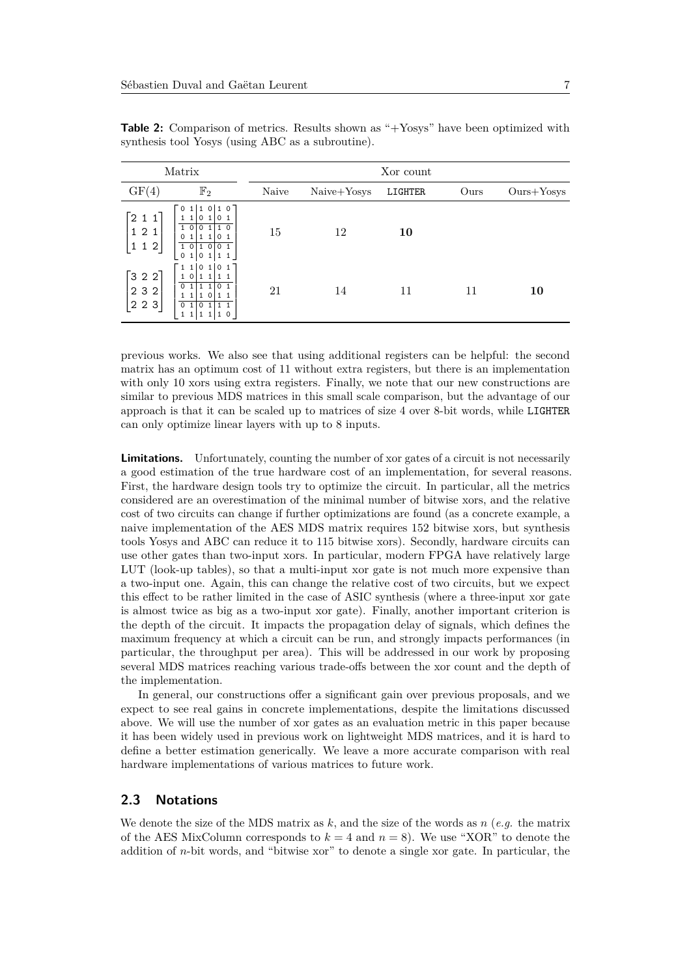<span id="page-6-0"></span>

| Matrix                                                    |                                                                                                                                                                                                                                                                 | Xor count |             |         |      |              |  |
|-----------------------------------------------------------|-----------------------------------------------------------------------------------------------------------------------------------------------------------------------------------------------------------------------------------------------------------------|-----------|-------------|---------|------|--------------|--|
| GF(4)                                                     | $\mathbb{F}_2$                                                                                                                                                                                                                                                  | Naive     | Naive+Yosys | LIGHTER | Ours | $Ours+Yosys$ |  |
| 2 1 1 <br>121<br>$\mathbf{1}$<br>1 2                      | $\overline{0}$ 1<br>0 <sub>1</sub><br>1 0<br>  1<br>$1\quad1$<br>0 <sub>1</sub><br>$\begin{array}{ccc} 0 & 1 \end{array}$<br>$\Omega$<br>0<br>0 <sub>1</sub><br>11101<br> 0 <br>0 <sub>1</sub><br>1 <sub>0</sub><br>$\mathbf{1}$<br>$\circ$<br>$\mathbf 0$<br>1 | 15        | 12          | 10      |      |              |  |
| $\begin{bmatrix} 3 & 2 & 2 \end{bmatrix}$<br>2 3 2<br>223 | 11<br>$\begin{array}{ccc} \circ & 1 \end{array}$<br>$\begin{array}{cc} 0 & 1 \end{array}$<br>10<br>$\mathbf{1}$<br>0 <sub>1</sub><br>lo 1<br>$\mathbf{1}$<br>1 <sub>0</sub><br>$1\quad1$<br>0 <sub>1</sub><br>0<br>$\mathbf{1}$<br>$\circ$<br>1<br>1            | 21        | 14          | 11      | 11   | 10           |  |

**Table 2:** Comparison of metrics. Results shown as "+Yosys" have been optimized with synthesis tool Yosys (using ABC as a subroutine).

previous works. We also see that using additional registers can be helpful: the second matrix has an optimum cost of 11 without extra registers, but there is an implementation with only 10 xors using extra registers. Finally, we note that our new constructions are similar to previous MDS matrices in this small scale comparison, but the advantage of our approach is that it can be scaled up to matrices of size 4 over 8-bit words, while LIGHTER can only optimize linear layers with up to 8 inputs.

**Limitations.** Unfortunately, counting the number of xor gates of a circuit is not necessarily a good estimation of the true hardware cost of an implementation, for several reasons. First, the hardware design tools try to optimize the circuit. In particular, all the metrics considered are an overestimation of the minimal number of bitwise xors, and the relative cost of two circuits can change if further optimizations are found (as a concrete example, a naive implementation of the AES MDS matrix requires 152 bitwise xors, but synthesis tools Yosys and ABC can reduce it to 115 bitwise xors). Secondly, hardware circuits can use other gates than two-input xors. In particular, modern FPGA have relatively large LUT (look-up tables), so that a multi-input xor gate is not much more expensive than a two-input one. Again, this can change the relative cost of two circuits, but we expect this effect to be rather limited in the case of ASIC synthesis (where a three-input xor gate is almost twice as big as a two-input xor gate). Finally, another important criterion is the depth of the circuit. It impacts the propagation delay of signals, which defines the maximum frequency at which a circuit can be run, and strongly impacts performances (in particular, the throughput per area). This will be addressed in our work by proposing several MDS matrices reaching various trade-offs between the xor count and the depth of the implementation.

In general, our constructions offer a significant gain over previous proposals, and we expect to see real gains in concrete implementations, despite the limitations discussed above. We will use the number of xor gates as an evaluation metric in this paper because it has been widely used in previous work on lightweight MDS matrices, and it is hard to define a better estimation generically. We leave a more accurate comparison with real hardware implementations of various matrices to future work.

#### **2.3 Notations**

We denote the size of the MDS matrix as *k*, and the size of the words as *n* (*e.g.* the matrix of the AES MixColumn corresponds to  $k = 4$  and  $n = 8$ ). We use "XOR" to denote the addition of *n*-bit words, and "bitwise xor" to denote a single xor gate. In particular, the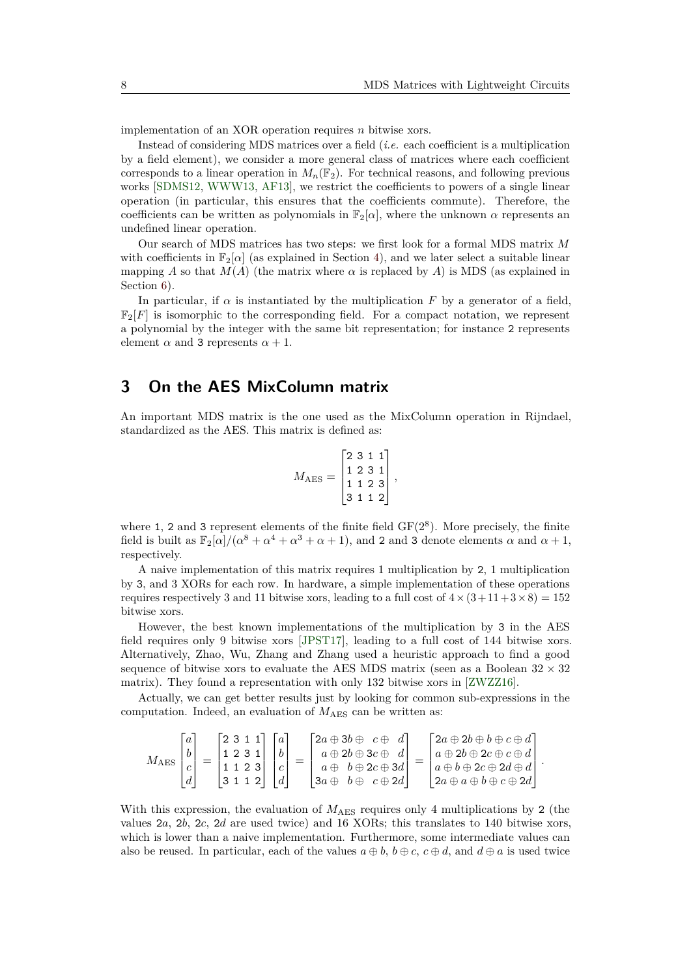implementation of an XOR operation requires *n* bitwise xors.

Instead of considering MDS matrices over a field (*i.e.* each coefficient is a multiplication by a field element), we consider a more general class of matrices where each coefficient corresponds to a linear operation in  $M_n(\mathbb{F}_2)$ . For technical reasons, and following previous works [\[SDMS12,](#page-22-3) [WWW13,](#page-23-2) [AF13\]](#page-20-1), we restrict the coefficients to powers of a single linear operation (in particular, this ensures that the coefficients commute). Therefore, the coefficients can be written as polynomials in  $\mathbb{F}_2[\alpha]$ , where the unknown  $\alpha$  represents an undefined linear operation.

Our search of MDS matrices has two steps: we first look for a formal MDS matrix *M* with coefficients in  $\mathbb{F}_2[\alpha]$  (as explained in Section [4\)](#page-9-0), and we later select a suitable linear mapping *A* so that  $M(A)$  (the matrix where  $\alpha$  is replaced by *A*) is MDS (as explained in Section [6\)](#page-17-0).

In particular, if  $\alpha$  is instantiated by the multiplication  $F$  by a generator of a field,  $\mathbb{F}_2[F]$  is isomorphic to the corresponding field. For a compact notation, we represent a polynomial by the integer with the same bit representation; for instance 2 represents element  $\alpha$  and 3 represents  $\alpha + 1$ .

## <span id="page-7-0"></span>**3 On the AES MixColumn matrix**

An important MDS matrix is the one used as the MixColumn operation in Rijndael, standardized as the AES. This matrix is defined as:

$$
M_{\rm AES} = \begin{bmatrix} 2 & 3 & 1 & 1 \\ 1 & 2 & 3 & 1 \\ 1 & 1 & 2 & 3 \\ 3 & 1 & 1 & 2 \end{bmatrix},
$$

where 1, 2 and 3 represent elements of the finite field  $GF(2^8)$ . More precisely, the finite field is built as  $\mathbb{F}_2[\alpha]/(\alpha^8 + \alpha^4 + \alpha^3 + \alpha + 1)$ , and 2 and 3 denote elements  $\alpha$  and  $\alpha + 1$ , respectively.

A naive implementation of this matrix requires 1 multiplication by 2, 1 multiplication by 3, and 3 XORs for each row. In hardware, a simple implementation of these operations requires respectively 3 and 11 bitwise xors, leading to a full cost of  $4 \times (3+11+3\times8) = 152$ bitwise xors.

However, the best known implementations of the multiplication by 3 in the AES field requires only 9 bitwise xors [\[JPST17\]](#page-22-9), leading to a full cost of 144 bitwise xors. Alternatively, Zhao, Wu, Zhang and Zhang used a heuristic approach to find a good sequence of bitwise xors to evaluate the AES MDS matrix (seen as a Boolean  $32 \times 32$ matrix). They found a representation with only 132 bitwise xors in [\[ZWZZ16\]](#page-23-6).

Actually, we can get better results just by looking for common sub-expressions in the computation. Indeed, an evaluation of  $M_{\text{AES}}$  can be written as:

$$
M_{\text{AES}}\begin{bmatrix} a \\ b \\ c \\ d \end{bmatrix} = \begin{bmatrix} 2 & 3 & 1 & 1 \\ 1 & 2 & 3 & 1 \\ 1 & 1 & 2 & 3 \\ 3 & 1 & 1 & 2 \end{bmatrix} \begin{bmatrix} a \\ b \\ c \\ d \end{bmatrix} = \begin{bmatrix} 2a \oplus 3b \oplus & c \oplus & d \\ a \oplus 2b \oplus 3c \oplus & d \\ a \oplus & b \oplus 2c \oplus 3d \\ 3a \oplus & b \oplus & c \oplus 2d \end{bmatrix} = \begin{bmatrix} 2a \oplus 2b \oplus b \oplus c \oplus d \\ a \oplus 2b \oplus 2c \oplus c \oplus d \\ a \oplus b \oplus 2c \oplus 2d \oplus d \\ 2a \oplus a \oplus b \oplus c \oplus 2d \end{bmatrix}.
$$

With this expression, the evaluation of  $M_{\text{AES}}$  requires only 4 multiplications by 2 (the values 2*a*, 2*b*, 2*c*, 2*d* are used twice) and 16 XORs; this translates to 140 bitwise xors, which is lower than a naive implementation. Furthermore, some intermediate values can also be reused. In particular, each of the values  $a \oplus b$ ,  $b \oplus c$ ,  $c \oplus d$ , and  $d \oplus a$  is used twice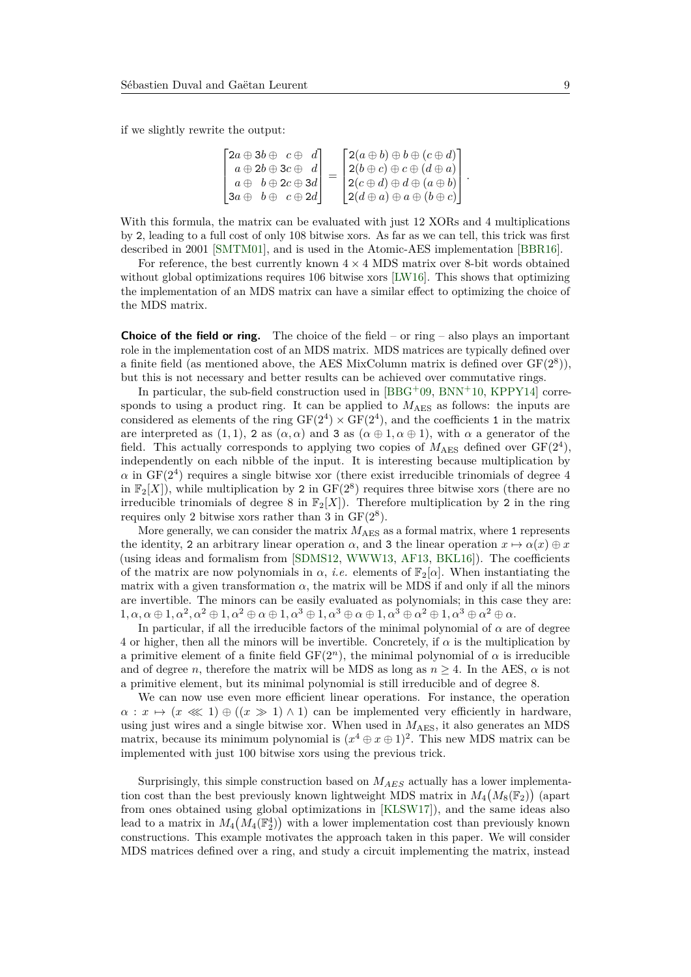if we slightly rewrite the output:

$$
\begin{bmatrix} 2a \oplus 3b \oplus & c \oplus & d \\ a \oplus 2b \oplus 3c \oplus & d \\ a \oplus & b \oplus 2c \oplus 3d \\ 3a \oplus & b \oplus & c \oplus 2d \end{bmatrix} = \begin{bmatrix} 2(a \oplus b) \oplus b \oplus (c \oplus d) \\ 2(b \oplus c) \oplus c \oplus (d \oplus a) \\ 2(c \oplus d) \oplus d \oplus (a \oplus b) \\ 2(d \oplus a) \oplus a \oplus (b \oplus c) \end{bmatrix}.
$$

With this formula, the matrix can be evaluated with just 12 XORs and 4 multiplications by 2, leading to a full cost of only 108 bitwise xors. As far as we can tell, this trick was first described in 2001 [\[SMTM01\]](#page-23-5), and is used in the Atomic-AES implementation [\[BBR16\]](#page-20-8).

For reference, the best currently known  $4 \times 4$  MDS matrix over 8-bit words obtained without global optimizations requires 106 bitwise xors [\[LW16\]](#page-22-6). This shows that optimizing the implementation of an MDS matrix can have a similar effect to optimizing the choice of the MDS matrix.

**Choice of the field or ring.** The choice of the field – or ring – also plays an important role in the implementation cost of an MDS matrix. MDS matrices are typically defined over a finite field (as mentioned above, the AES MixColumn matrix is defined over  $GF(2^8)$ ), but this is not necessary and better results can be achieved over commutative rings.

In particular, the sub-field construction used in [\[BBG](#page-20-9)+09, [BNN](#page-21-10)+10, [KPPY14\]](#page-22-10) corresponds to using a product ring. It can be applied to  $M_{\text{AES}}$  as follows: the inputs are considered as elements of the ring  $GF(2^4) \times GF(2^4)$ , and the coefficients 1 in the matrix are interpreted as (1, 1), 2 as ( $\alpha, \alpha$ ) and 3 as ( $\alpha \oplus 1, \alpha \oplus 1$ ), with  $\alpha$  a generator of the field. This actually corresponds to applying two copies of  $M_{\text{AES}}$  defined over  $GF(2^4)$ , independently on each nibble of the input. It is interesting because multiplication by  $\alpha$  in GF( $2<sup>4</sup>$ ) requires a single bitwise xor (there exist irreducible trinomials of degree 4 in  $\mathbb{F}_2[X]$ ), while multiplication by 2 in  $GF(2^8)$  requires three bitwise xors (there are no irreducible trinomials of degree 8 in  $\mathbb{F}_2[X]$ ). Therefore multiplication by 2 in the ring requires only 2 bitwise xors rather than 3 in  $GF(2^8)$ .

More generally, we can consider the matrix  $M_{\rm AES}$  as a formal matrix, where 1 represents the identity, 2 an arbitrary linear operation  $\alpha$ , and 3 the linear operation  $x \mapsto \alpha(x) \oplus x$ (using ideas and formalism from [\[SDMS12,](#page-22-3) [WWW13,](#page-23-2) [AF13,](#page-20-1) [BKL16\]](#page-20-2)). The coefficients of the matrix are now polynomials in  $\alpha$ , *i.e.* elements of  $\mathbb{F}_2[\alpha]$ . When instantiating the matrix with a given transformation  $\alpha$ , the matrix will be MDS if and only if all the minors are invertible. The minors can be easily evaluated as polynomials; in this case they are:  $1, \alpha, \alpha \oplus 1, \alpha^2, \alpha^2 \oplus 1, \alpha^2 \oplus \alpha \oplus 1, \alpha^3 \oplus 1, \alpha^3 \oplus \alpha \oplus 1, \alpha^3 \oplus \alpha^2 \oplus 1, \alpha^3 \oplus \alpha^2 \oplus \alpha.$ 

In particular, if all the irreducible factors of the minimal polynomial of *α* are of degree 4 or higher, then all the minors will be invertible. Concretely, if  $\alpha$  is the multiplication by a primitive element of a finite field  $GF(2<sup>n</sup>)$ , the minimal polynomial of  $\alpha$  is irreducible and of degree *n*, therefore the matrix will be MDS as long as  $n \geq 4$ . In the AES,  $\alpha$  is not a primitive element, but its minimal polynomial is still irreducible and of degree 8.

We can now use even more efficient linear operations. For instance, the operation  $\alpha: x \mapsto (x \ll 1) \oplus ((x \gg 1) \wedge 1)$  can be implemented very efficiently in hardware, using just wires and a single bitwise xor. When used in  $M_{\rm AES}$ , it also generates an MDS matrix, because its minimum polynomial is  $(x^4 \oplus x \oplus 1)^2$ . This new MDS matrix can be implemented with just 100 bitwise xors using the previous trick.

Surprisingly, this simple construction based on *MAES* actually has a lower implementation cost than the best previously known lightweight MDS matrix in  $M_4(M_8(\mathbb{F}_2))$  (apart from ones obtained using global optimizations in [\[KLSW17\]](#page-22-8)), and the same ideas also lead to a matrix in  $M_4(M_4(\mathbb{F}_2^4))$  with a lower implementation cost than previously known constructions. This example motivates the approach taken in this paper. We will consider MDS matrices defined over a ring, and study a circuit implementing the matrix, instead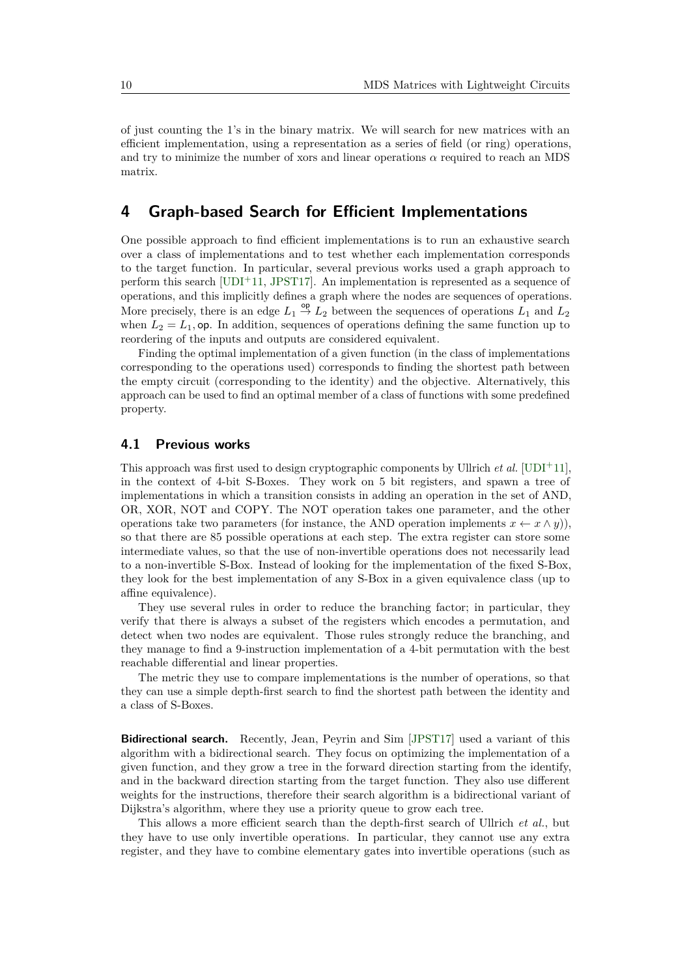of just counting the 1's in the binary matrix. We will search for new matrices with an efficient implementation, using a representation as a series of field (or ring) operations, and try to minimize the number of xors and linear operations  $\alpha$  required to reach an MDS matrix.

## <span id="page-9-0"></span>**4 Graph-based Search for Efficient Implementations**

One possible approach to find efficient implementations is to run an exhaustive search over a class of implementations and to test whether each implementation corresponds to the target function. In particular, several previous works used a graph approach to perform this search  $[UDI+11, JPST17]$  $[UDI+11, JPST17]$  $[UDI+11, JPST17]$ . An implementation is represented as a sequence of operations, and this implicitly defines a graph where the nodes are sequences of operations. More precisely, there is an edge  $L_1 \stackrel{\mathsf{op}}{\to} L_2$  between the sequences of operations  $L_1$  and  $L_2$ when  $L_2 = L_1$ , op. In addition, sequences of operations defining the same function up to reordering of the inputs and outputs are considered equivalent.

Finding the optimal implementation of a given function (in the class of implementations corresponding to the operations used) corresponds to finding the shortest path between the empty circuit (corresponding to the identity) and the objective. Alternatively, this approach can be used to find an optimal member of a class of functions with some predefined property.

#### **4.1 Previous works**

This approach was first used to design cryptographic components by Ullrich *et al.* [\[UDI](#page-23-1)<sup>+11]</sup>, in the context of 4-bit S-Boxes. They work on 5 bit registers, and spawn a tree of implementations in which a transition consists in adding an operation in the set of AND, OR, XOR, NOT and COPY. The NOT operation takes one parameter, and the other operations take two parameters (for instance, the AND operation implements  $x \leftarrow x \wedge y$ )), so that there are 85 possible operations at each step. The extra register can store some intermediate values, so that the use of non-invertible operations does not necessarily lead to a non-invertible S-Box. Instead of looking for the implementation of the fixed S-Box, they look for the best implementation of any S-Box in a given equivalence class (up to affine equivalence).

They use several rules in order to reduce the branching factor; in particular, they verify that there is always a subset of the registers which encodes a permutation, and detect when two nodes are equivalent. Those rules strongly reduce the branching, and they manage to find a 9-instruction implementation of a 4-bit permutation with the best reachable differential and linear properties.

The metric they use to compare implementations is the number of operations, so that they can use a simple depth-first search to find the shortest path between the identity and a class of S-Boxes.

**Bidirectional search.** Recently, Jean, Peyrin and Sim [\[JPST17\]](#page-22-9) used a variant of this algorithm with a bidirectional search. They focus on optimizing the implementation of a given function, and they grow a tree in the forward direction starting from the identify, and in the backward direction starting from the target function. They also use different weights for the instructions, therefore their search algorithm is a bidirectional variant of Dijkstra's algorithm, where they use a priority queue to grow each tree.

This allows a more efficient search than the depth-first search of Ullrich *et al.*, but they have to use only invertible operations. In particular, they cannot use any extra register, and they have to combine elementary gates into invertible operations (such as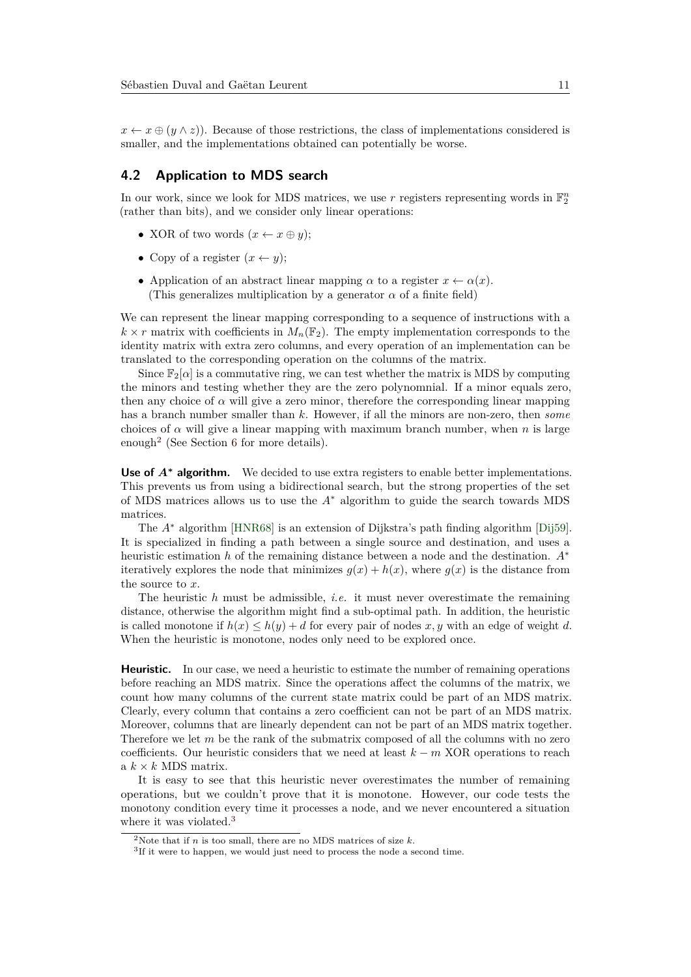$x \leftarrow x \oplus (y \wedge z)$ . Because of those restrictions, the class of implementations considered is smaller, and the implementations obtained can potentially be worse.

#### **4.2 Application to MDS search**

In our work, since we look for MDS matrices, we use  $r$  registers representing words in  $\mathbb{F}_2^n$ (rather than bits), and we consider only linear operations:

- XOR of two words  $(x \leftarrow x \oplus y)$ ;
- Copy of a register  $(x \leftarrow y)$ ;
- Application of an abstract linear mapping  $\alpha$  to a register  $x \leftarrow \alpha(x)$ . (This generalizes multiplication by a generator  $\alpha$  of a finite field)

We can represent the linear mapping corresponding to a sequence of instructions with a  $k \times r$  matrix with coefficients in  $M_n(\mathbb{F}_2)$ . The empty implementation corresponds to the identity matrix with extra zero columns, and every operation of an implementation can be translated to the corresponding operation on the columns of the matrix.

Since  $\mathbb{F}_2[\alpha]$  is a commutative ring, we can test whether the matrix is MDS by computing the minors and testing whether they are the zero polynomnial. If a minor equals zero, then any choice of  $\alpha$  will give a zero minor, therefore the corresponding linear mapping has a branch number smaller than *k*. However, if all the minors are non-zero, then *some* choices of  $\alpha$  will give a linear mapping with maximum branch number, when *n* is large enough[2](#page-10-0) (See Section [6](#page-17-0) for more details).

Use of  $A^*$  **algorithm.** We decided to use extra registers to enable better implementations. This prevents us from using a bidirectional search, but the strong properties of the set of MDS matrices allows us to use the *A*<sup>∗</sup> algorithm to guide the search towards MDS matrices.

The *A*<sup>∗</sup> algorithm [\[HNR68\]](#page-21-11) is an extension of Dijkstra's path finding algorithm [\[Dij59\]](#page-21-12). It is specialized in finding a path between a single source and destination, and uses a heuristic estimation *h* of the remaining distance between a node and the destination. *A*<sup>∗</sup> iteratively explores the node that minimizes  $q(x) + h(x)$ , where  $q(x)$  is the distance from the source to *x*.

The heuristic *h* must be admissible, *i.e.* it must never overestimate the remaining distance, otherwise the algorithm might find a sub-optimal path. In addition, the heuristic is called monotone if  $h(x) \leq h(y) + d$  for every pair of nodes x, y with an edge of weight d. When the heuristic is monotone, nodes only need to be explored once.

**Heuristic.** In our case, we need a heuristic to estimate the number of remaining operations before reaching an MDS matrix. Since the operations affect the columns of the matrix, we count how many columns of the current state matrix could be part of an MDS matrix. Clearly, every column that contains a zero coefficient can not be part of an MDS matrix. Moreover, columns that are linearly dependent can not be part of an MDS matrix together. Therefore we let *m* be the rank of the submatrix composed of all the columns with no zero coefficients. Our heuristic considers that we need at least *k* − *m* XOR operations to reach a  $k \times k$  MDS matrix.

It is easy to see that this heuristic never overestimates the number of remaining operations, but we couldn't prove that it is monotone. However, our code tests the monotony condition every time it processes a node, and we never encountered a situation where it was violated.<sup>[3](#page-10-1)</sup>

<span id="page-10-0"></span><sup>&</sup>lt;sup>2</sup>Note that if *n* is too small, there are no MDS matrices of size  $k$ .

<span id="page-10-1"></span><sup>&</sup>lt;sup>3</sup>If it were to happen, we would just need to process the node a second time.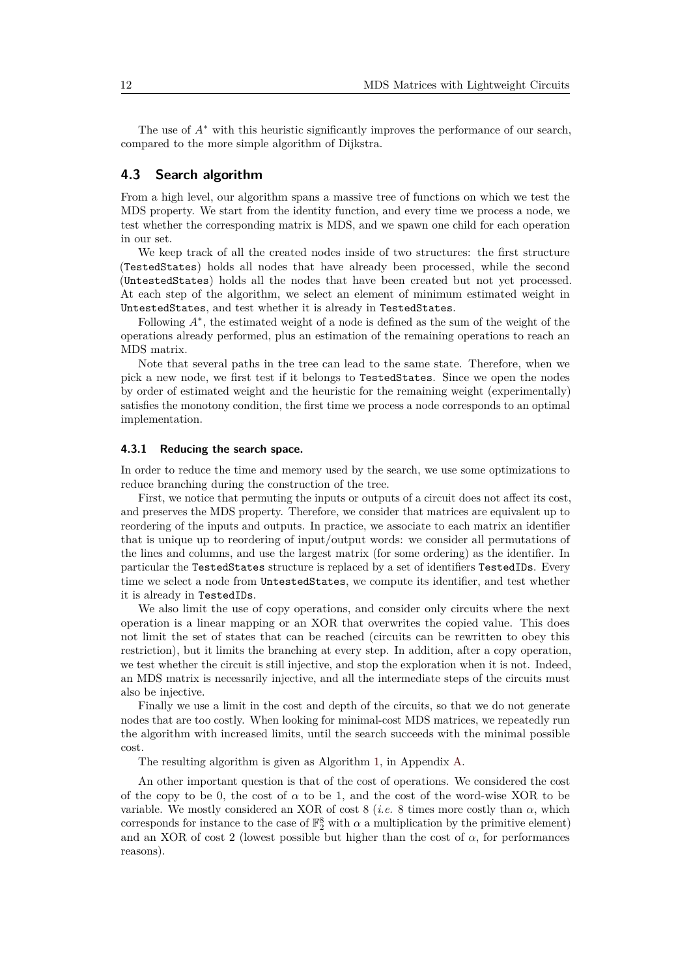The use of *A*<sup>∗</sup> with this heuristic significantly improves the performance of our search, compared to the more simple algorithm of Dijkstra.

#### **4.3 Search algorithm**

From a high level, our algorithm spans a massive tree of functions on which we test the MDS property. We start from the identity function, and every time we process a node, we test whether the corresponding matrix is MDS, and we spawn one child for each operation in our set.

We keep track of all the created nodes inside of two structures: the first structure (TestedStates) holds all nodes that have already been processed, while the second (UntestedStates) holds all the nodes that have been created but not yet processed. At each step of the algorithm, we select an element of minimum estimated weight in UntestedStates, and test whether it is already in TestedStates.

Following *A*<sup>∗</sup> , the estimated weight of a node is defined as the sum of the weight of the operations already performed, plus an estimation of the remaining operations to reach an MDS matrix.

Note that several paths in the tree can lead to the same state. Therefore, when we pick a new node, we first test if it belongs to TestedStates. Since we open the nodes by order of estimated weight and the heuristic for the remaining weight (experimentally) satisfies the monotony condition, the first time we process a node corresponds to an optimal implementation.

#### **4.3.1 Reducing the search space.**

In order to reduce the time and memory used by the search, we use some optimizations to reduce branching during the construction of the tree.

First, we notice that permuting the inputs or outputs of a circuit does not affect its cost, and preserves the MDS property. Therefore, we consider that matrices are equivalent up to reordering of the inputs and outputs. In practice, we associate to each matrix an identifier that is unique up to reordering of input/output words: we consider all permutations of the lines and columns, and use the largest matrix (for some ordering) as the identifier. In particular the TestedStates structure is replaced by a set of identifiers TestedIDs. Every time we select a node from UntestedStates, we compute its identifier, and test whether it is already in TestedIDs.

We also limit the use of copy operations, and consider only circuits where the next operation is a linear mapping or an XOR that overwrites the copied value. This does not limit the set of states that can be reached (circuits can be rewritten to obey this restriction), but it limits the branching at every step. In addition, after a copy operation, we test whether the circuit is still injective, and stop the exploration when it is not. Indeed, an MDS matrix is necessarily injective, and all the intermediate steps of the circuits must also be injective.

Finally we use a limit in the cost and depth of the circuits, so that we do not generate nodes that are too costly. When looking for minimal-cost MDS matrices, we repeatedly run the algorithm with increased limits, until the search succeeds with the minimal possible cost.

The resulting algorithm is given as Algorithm [1,](#page-24-0) in Appendix [A.](#page-24-1)

An other important question is that of the cost of operations. We considered the cost of the copy to be 0, the cost of  $\alpha$  to be 1, and the cost of the word-wise XOR to be variable. We mostly considered an XOR of cost 8 (*i.e.* 8 times more costly than  $\alpha$ , which corresponds for instance to the case of  $\mathbb{F}_2^8$  with  $\alpha$  a multiplication by the primitive element) and an XOR of cost 2 (lowest possible but higher than the cost of  $\alpha$ , for performances reasons).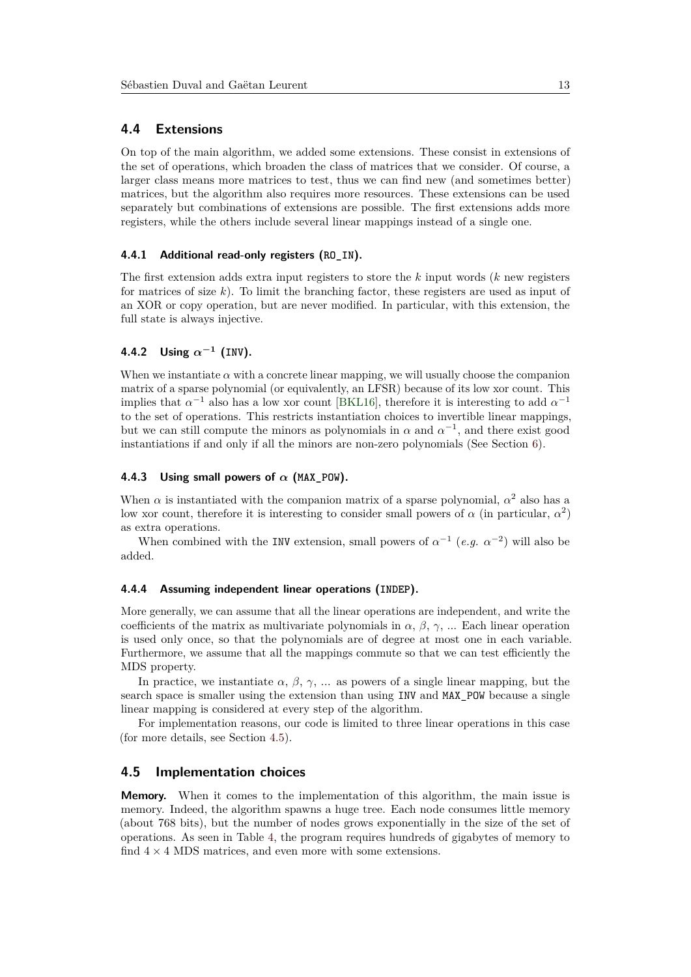#### **4.4 Extensions**

On top of the main algorithm, we added some extensions. These consist in extensions of the set of operations, which broaden the class of matrices that we consider. Of course, a larger class means more matrices to test, thus we can find new (and sometimes better) matrices, but the algorithm also requires more resources. These extensions can be used separately but combinations of extensions are possible. The first extensions adds more registers, while the others include several linear mappings instead of a single one.

#### **4.4.1 Additional read-only registers (RO\_IN).**

The first extension adds extra input registers to store the *k* input words (*k* new registers for matrices of size *k*). To limit the branching factor, these registers are used as input of an XOR or copy operation, but are never modified. In particular, with this extension, the full state is always injective.

#### **4.4.2 Using** *α***−<sup>1</sup> (INV).**

When we instantiate  $\alpha$  with a concrete linear mapping, we will usually choose the companion matrix of a sparse polynomial (or equivalently, an LFSR) because of its low xor count. This implies that  $\alpha^{-1}$  also has a low xor count [\[BKL16\]](#page-20-2), therefore it is interesting to add  $\alpha^{-1}$ to the set of operations. This restricts instantiation choices to invertible linear mappings, but we can still compute the minors as polynomials in  $\alpha$  and  $\alpha^{-1}$ , and there exist good instantiations if and only if all the minors are non-zero polynomials (See Section [6\)](#page-17-0).

#### **4.4.3** Using small powers of  $\alpha$  (MAX POW).

When  $\alpha$  is instantiated with the companion matrix of a sparse polynomial,  $\alpha^2$  also has a low xor count, therefore it is interesting to consider small powers of  $\alpha$  (in particular,  $\alpha^2$ ) as extra operations.

When combined with the INV extension, small powers of  $\alpha^{-1}$  (*e.g.*  $\alpha^{-2}$ ) will also be added.

#### **4.4.4 Assuming independent linear operations (INDEP).**

More generally, we can assume that all the linear operations are independent, and write the coefficients of the matrix as multivariate polynomials in  $\alpha$ ,  $\beta$ ,  $\gamma$ , ... Each linear operation is used only once, so that the polynomials are of degree at most one in each variable. Furthermore, we assume that all the mappings commute so that we can test efficiently the MDS property.

In practice, we instantiate  $\alpha$ ,  $\beta$ ,  $\gamma$ , ... as powers of a single linear mapping, but the search space is smaller using the extension than using INV and MAX\_POW because a single linear mapping is considered at every step of the algorithm.

For implementation reasons, our code is limited to three linear operations in this case (for more details, see Section [4.5\)](#page-12-0).

#### <span id="page-12-0"></span>**4.5 Implementation choices**

**Memory.** When it comes to the implementation of this algorithm, the main issue is memory. Indeed, the algorithm spawns a huge tree. Each node consumes little memory (about 768 bits), but the number of nodes grows exponentially in the size of the set of operations. As seen in Table [4,](#page-16-0) the program requires hundreds of gigabytes of memory to find  $4 \times 4$  MDS matrices, and even more with some extensions.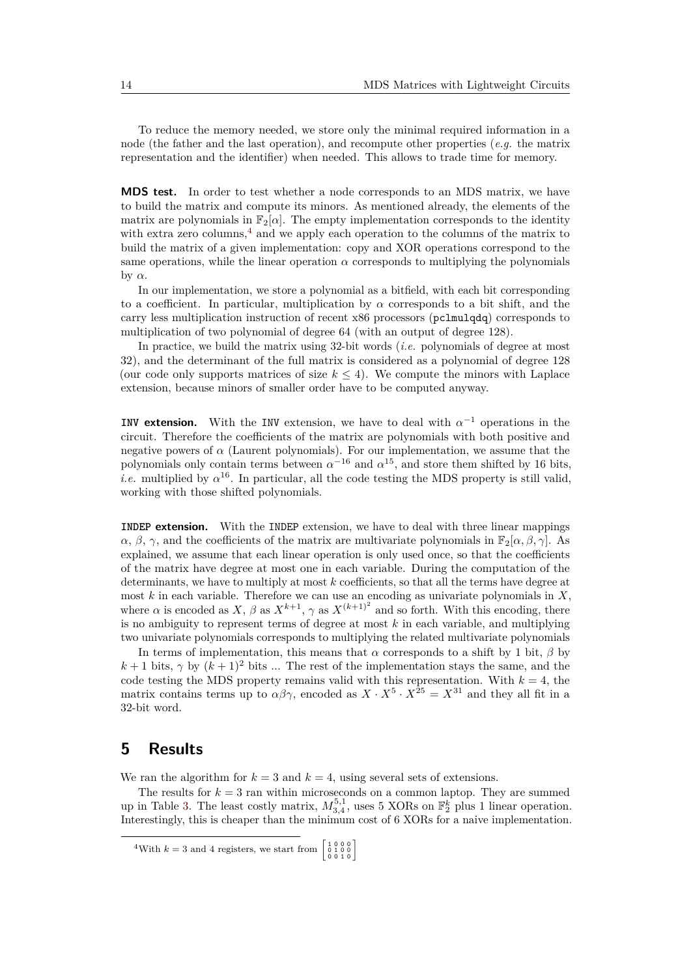To reduce the memory needed, we store only the minimal required information in a node (the father and the last operation), and recompute other properties (*e.g.* the matrix representation and the identifier) when needed. This allows to trade time for memory.

**MDS test.** In order to test whether a node corresponds to an MDS matrix, we have to build the matrix and compute its minors. As mentioned already, the elements of the matrix are polynomials in  $\mathbb{F}_2[\alpha]$ . The empty implementation corresponds to the identity with extra zero columns, $4$  and we apply each operation to the columns of the matrix to build the matrix of a given implementation: copy and XOR operations correspond to the same operations, while the linear operation  $\alpha$  corresponds to multiplying the polynomials by *α*.

In our implementation, we store a polynomial as a bitfield, with each bit corresponding to a coefficient. In particular, multiplication by *α* corresponds to a bit shift, and the carry less multiplication instruction of recent x86 processors (pclmulqdq) corresponds to multiplication of two polynomial of degree 64 (with an output of degree 128).

In practice, we build the matrix using 32-bit words (*i.e.* polynomials of degree at most 32), and the determinant of the full matrix is considered as a polynomial of degree 128 (our code only supports matrices of size  $k \leq 4$ ). We compute the minors with Laplace extension, because minors of smaller order have to be computed anyway.

**INV extension.** With the INV extension, we have to deal with  $\alpha^{-1}$  operations in the circuit. Therefore the coefficients of the matrix are polynomials with both positive and negative powers of  $\alpha$  (Laurent polynomials). For our implementation, we assume that the polynomials only contain terms between  $\alpha^{-16}$  and  $\alpha^{15}$ , and store them shifted by 16 bits, *i.e.* multiplied by  $\alpha^{16}$ . In particular, all the code testing the MDS property is still valid, working with those shifted polynomials.

**INDEP extension.** With the INDEP extension, we have to deal with three linear mappings  $\alpha$ ,  $\beta$ ,  $\gamma$ , and the coefficients of the matrix are multivariate polynomials in  $\mathbb{F}_2[\alpha, \beta, \gamma]$ . As explained, we assume that each linear operation is only used once, so that the coefficients of the matrix have degree at most one in each variable. During the computation of the determinants, we have to multiply at most *k* coefficients, so that all the terms have degree at most *k* in each variable. Therefore we can use an encoding as univariate polynomials in *X*, where  $\alpha$  is encoded as  $X, \beta$  as  $X^{k+1}, \gamma$  as  $X^{(k+1)^2}$  and so forth. With this encoding, there is no ambiguity to represent terms of degree at most *k* in each variable, and multiplying two univariate polynomials corresponds to multiplying the related multivariate polynomials

In terms of implementation, this means that  $\alpha$  corresponds to a shift by 1 bit,  $\beta$  by  $k+1$  bits,  $\gamma$  by  $(k+1)^2$  bits ... The rest of the implementation stays the same, and the code testing the MDS property remains valid with this representation. With  $k = 4$ , the matrix contains terms up to  $\alpha\beta\gamma$ , encoded as  $X \cdot X^5 \cdot X^{25} = X^{31}$  and they all fit in a 32-bit word.

## <span id="page-13-0"></span>**5 Results**

We ran the algorithm for  $k = 3$  and  $k = 4$ , using several sets of extensions.

The results for  $k = 3$  ran within microseconds on a common laptop. They are summed up in Table [3.](#page-15-0) The least costly matrix,  $M_{3,4}^{5,1}$ , uses 5 XORs on  $\mathbb{F}_2^k$  plus 1 linear operation. Interestingly, this is cheaper than the minimum cost of 6 XORs for a naive implementation.

<span id="page-13-1"></span><sup>&</sup>lt;sup>4</sup>With  $k = 3$  and 4 registers, we start from  $\begin{bmatrix} 1 & 0 & 0 & 0 \\ 0 & 1 & 0 & 0 \\ 0 & 0 & 1 & 0 \end{bmatrix}$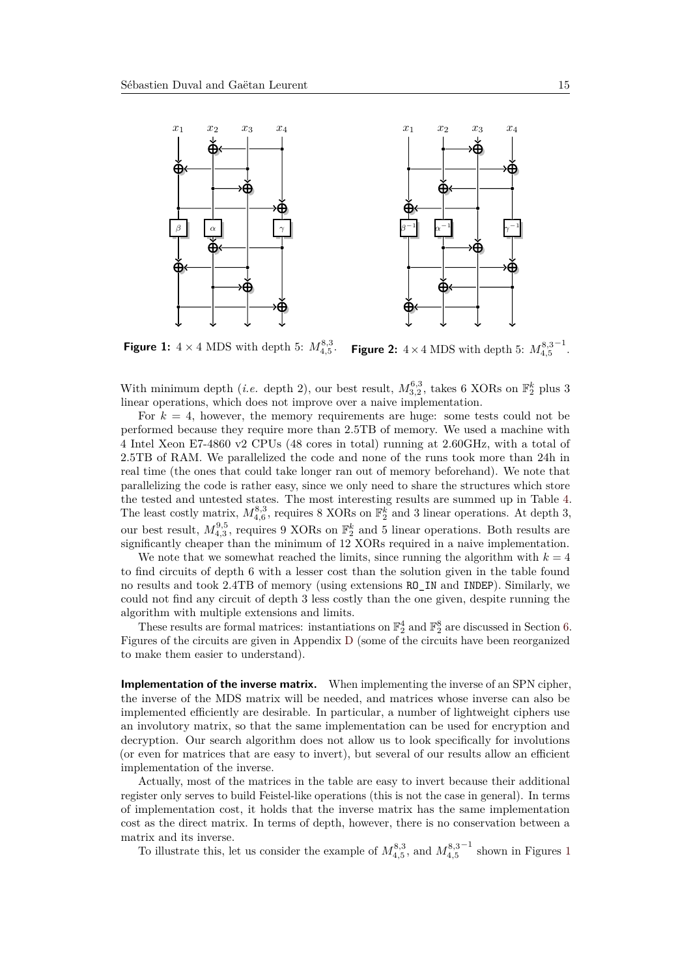<span id="page-14-0"></span>

**Figure 1:**  $4 \times 4$  MDS with depth 5:  $M_{4,5}^{8,3}$ . **Figure 2:**  $4 \times 4$  MDS with depth 5:  $M_{4,5}^{8,3}$ −1 .

With minimum depth (*i.e.* depth 2), our best result,  $M_{3,2}^{6,3}$ , takes 6 XORs on  $\mathbb{F}_2^k$  plus 3 linear operations, which does not improve over a naive implementation.

For  $k = 4$ , however, the memory requirements are huge: some tests could not be performed because they require more than 2.5TB of memory. We used a machine with 4 Intel Xeon E7-4860 v2 CPUs (48 cores in total) running at 2.60GHz, with a total of 2.5TB of RAM. We parallelized the code and none of the runs took more than 24h in real time (the ones that could take longer ran out of memory beforehand). We note that parallelizing the code is rather easy, since we only need to share the structures which store the tested and untested states. The most interesting results are summed up in Table [4.](#page-16-0) The least costly matrix,  $M_{4,6}^{8,3}$ , requires 8 XORs on  $\mathbb{F}_2^k$  and 3 linear operations. At depth 3, our best result,  $M_{4,3}^{9,5}$ , requires 9 XORs on  $\mathbb{F}_2^k$  and 5 linear operations. Both results are significantly cheaper than the minimum of 12 XORs required in a naive implementation.

We note that we somewhat reached the limits, since running the algorithm with  $k = 4$ to find circuits of depth 6 with a lesser cost than the solution given in the table found no results and took 2.4TB of memory (using extensions RO\_IN and INDEP). Similarly, we could not find any circuit of depth 3 less costly than the one given, despite running the algorithm with multiple extensions and limits.

These results are formal matrices: instantiations on  $\mathbb{F}_2^4$  and  $\mathbb{F}_2^8$  are discussed in Section [6.](#page-17-0) Figures of the circuits are given in Appendix [D](#page-27-1) (some of the circuits have been reorganized to make them easier to understand).

**Implementation of the inverse matrix.** When implementing the inverse of an SPN cipher, the inverse of the MDS matrix will be needed, and matrices whose inverse can also be implemented efficiently are desirable. In particular, a number of lightweight ciphers use an involutory matrix, so that the same implementation can be used for encryption and decryption. Our search algorithm does not allow us to look specifically for involutions (or even for matrices that are easy to invert), but several of our results allow an efficient implementation of the inverse.

Actually, most of the matrices in the table are easy to invert because their additional register only serves to build Feistel-like operations (this is not the case in general). In terms of implementation cost, it holds that the inverse matrix has the same implementation cost as the direct matrix. In terms of depth, however, there is no conservation between a matrix and its inverse.

To illustrate this, let us consider the example of  $M_{4,5}^{8,3}$ , and  $M_{4,5}^{8,3}$  $^{-1}$  $^{-1}$  $^{-1}$  shown in Figures 1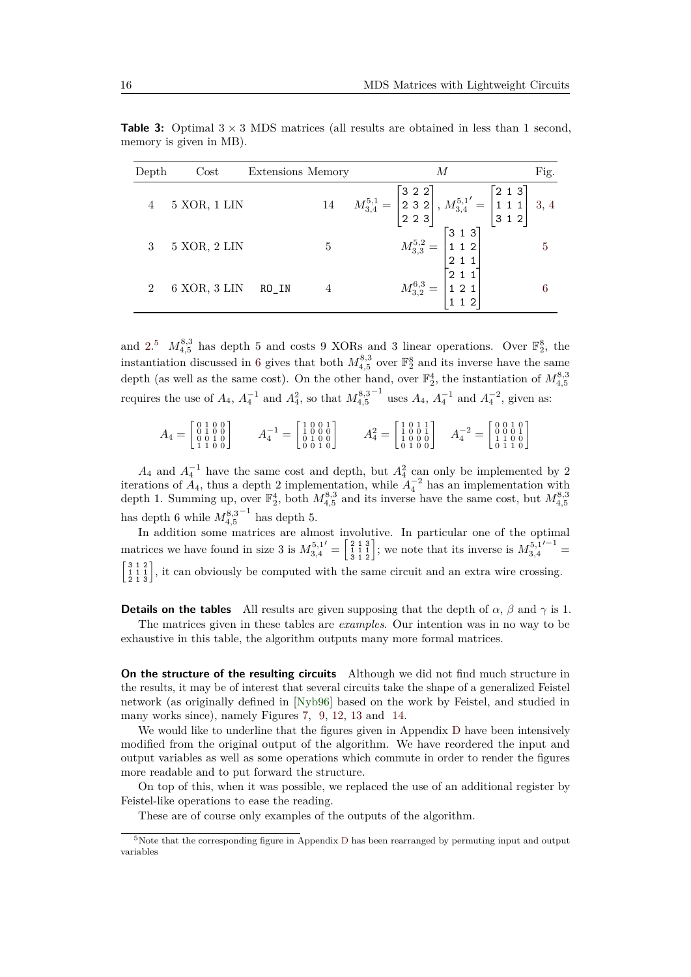<span id="page-15-0"></span>

| Depth | $\cos t$     | Extensions Memory |        | М                                                                                                                                                                                      | Fig. |
|-------|--------------|-------------------|--------|----------------------------------------------------------------------------------------------------------------------------------------------------------------------------------------|------|
|       | 5 XOR, 1 LIN |                   | $14\,$ | $M_{3,4}^{5,1} = \begin{bmatrix} 3 & 2 & 2 \\ 2 & 3 & 2 \\ 2 & 2 & 3 \end{bmatrix}$ , $M_{3,4}^{5,1'} = \begin{bmatrix} 2 & 1 & 3 \\ 1 & 1 & 1 \\ 3 & 1 & 2 \end{bmatrix}$ 3, 4        |      |
|       | 5 XOR, 2 LIN |                   | 5      | $\overline{5}$                                                                                                                                                                         |      |
| 2     | 6 XOR, 3 LIN | RO IN             |        | $M_{3,3}^{5,2} = \begin{bmatrix} 3 & 1 & 3 \ 1 & 1 & 2 \ 2 & 1 & 1 \ 2 & 1 & 1 \ \end{bmatrix}$<br>$M_{3,2}^{6,3} = \begin{bmatrix} 3 & 1 & 3 \ 1 & 1 & 2 \ 1 & 1 & 2 \ \end{bmatrix}$ |      |

**Table 3:** Optimal  $3 \times 3$  MDS matrices (all results are obtained in less than 1 second, memory is given in MB).

and [2.](#page-14-0)<sup>[5](#page-15-1)</sup>  $M_{4,5}^{8,3}$  has depth 5 and costs 9 XORs and 3 linear operations. Over  $\mathbb{F}_2^8$ , the instantiation discussed in [6](#page-17-0) gives that both  $M_{4,5}^{8,3}$  over  $\mathbb{F}_2^8$  and its inverse have the same depth (as well as the same cost). On the other hand, over  $\mathbb{F}_2^4$ , the instantiation of  $M_{4,5}^{8,3}$ requires the use of  $A_4$ ,  $A_4^{-1}$  and  $A_4^2$ , so that  $M_{4,5}^{8,3}$  $^{-1}$  uses  $A_4$ ,  $A_4^{-1}$  and  $A_4^{-2}$ , given as:

$$
A_4 = \begin{bmatrix} 0 & 1 & 0 & 0 \\ 0 & 1 & 0 & 0 \\ 0 & 0 & 1 & 0 \\ 1 & 1 & 0 & 0 \end{bmatrix} \qquad A_4^{-1} = \begin{bmatrix} 1 & 0 & 0 & 1 \\ 1 & 0 & 0 & 0 \\ 0 & 1 & 0 & 0 \\ 0 & 0 & 1 & 0 \end{bmatrix} \qquad A_4^2 = \begin{bmatrix} 1 & 0 & 1 & 1 \\ 1 & 0 & 0 & 1 \\ 1 & 0 & 0 & 0 \\ 0 & 1 & 0 & 0 \end{bmatrix} \qquad A_4^{-2} = \begin{bmatrix} 0 & 0 & 1 & 0 \\ 0 & 0 & 0 & 1 \\ 1 & 1 & 0 & 0 \\ 0 & 1 & 1 & 0 \end{bmatrix}
$$

 $A_4$  and  $A_4^{-1}$  have the same cost and depth, but  $A_4^2$  can only be implemented by 2 iterations of  $A_4$ , thus a depth 2 implementation, while  $A_4^{-2}$  has an implementation with depth 1. Summing up, over  $\mathbb{F}_2^4$ , both  $M_{4,5}^{8,3}$  and its inverse have the same cost, but  $M_{4,5}^{8,3}$ has depth 6 while  $M_{4,5}^{8,3}$  $^{-1}$  has depth 5.

In addition some matrices are almost involutive. In particular one of the optimal matrices we have found in size 3 is  $M_{3,4}^{5,1}$  $\mathcal{L}' = \begin{bmatrix} 2 & 1 & 3 \\ 1 & 1 & 1 \\ 3 & 1 & 2 \end{bmatrix}$ ; we note that its inverse is  $M_{3,4}^{5,1}$  $'^{-1}$  =  $\begin{bmatrix} 3 & 1 & 2 \\ 2 & 1 & 3 \end{bmatrix}$ , it can obviously be computed with the same circuit and an extra wire crossing.

**Details on the tables** All results are given supposing that the depth of  $\alpha$ ,  $\beta$  and  $\gamma$  is 1. The matrices given in these tables are *examples*. Our intention was in no way to be exhaustive in this table, the algorithm outputs many more formal matrices.

**On the structure of the resulting circuits** Although we did not find much structure in the results, it may be of interest that several circuits take the shape of a generalized Feistel network (as originally defined in [\[Nyb96\]](#page-22-11) based on the work by Feistel, and studied in many works since), namely Figures [7,](#page-28-0) [9,](#page-28-0) [12,](#page-29-0) [13](#page-29-0) and [14.](#page-29-0)

We would like to underline that the figures given in Appendix [D](#page-27-1) have been intensively modified from the original output of the algorithm. We have reordered the input and output variables as well as some operations which commute in order to render the figures more readable and to put forward the structure.

On top of this, when it was possible, we replaced the use of an additional register by Feistel-like operations to ease the reading.

These are of course only examples of the outputs of the algorithm.

<span id="page-15-1"></span><sup>5</sup>Note that the corresponding figure in Appendix [D](#page-27-1) has been rearranged by permuting input and output variables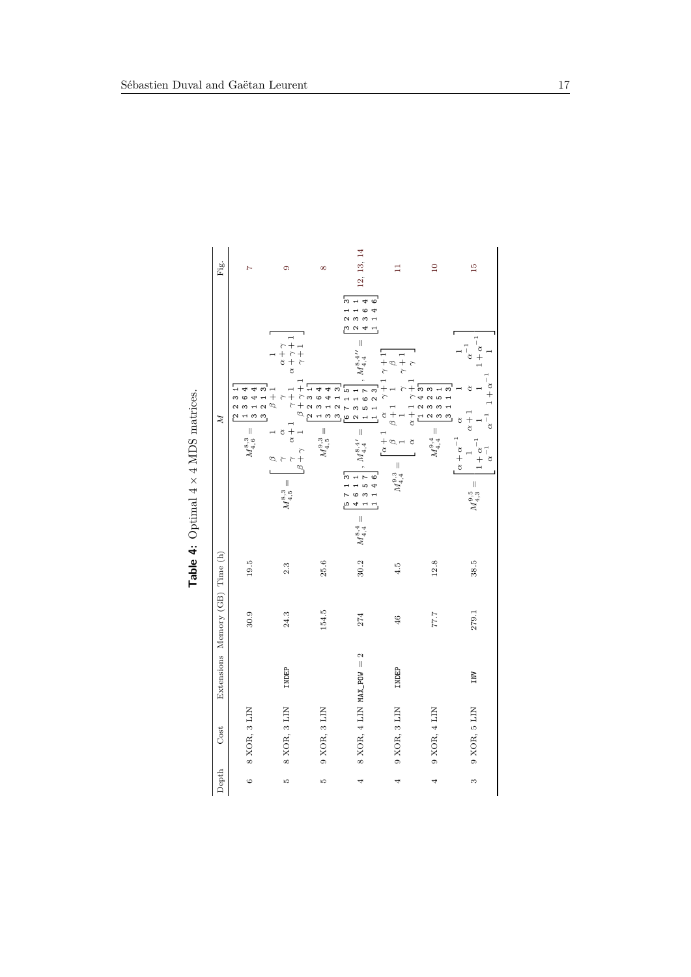<span id="page-16-0"></span>

| Fig.                            | $\overline{1}$                                                                                                                                                                | $\circ$                                                                                                                                                                                                                                                                                                                                                                                       | $\infty$                                                          | 12, 13, 14                                                                                                                                                                                                                                                                                                                                                                                                                                                                                                                                                                                                                                                                                      | Ξ                                                                                                                                                                                                                               | $\overline{10}$                                                                                              | $\frac{15}{2}$                                                                                                                                                                                                                          |
|---------------------------------|-------------------------------------------------------------------------------------------------------------------------------------------------------------------------------|-----------------------------------------------------------------------------------------------------------------------------------------------------------------------------------------------------------------------------------------------------------------------------------------------------------------------------------------------------------------------------------------------|-------------------------------------------------------------------|-------------------------------------------------------------------------------------------------------------------------------------------------------------------------------------------------------------------------------------------------------------------------------------------------------------------------------------------------------------------------------------------------------------------------------------------------------------------------------------------------------------------------------------------------------------------------------------------------------------------------------------------------------------------------------------------------|---------------------------------------------------------------------------------------------------------------------------------------------------------------------------------------------------------------------------------|--------------------------------------------------------------------------------------------------------------|-----------------------------------------------------------------------------------------------------------------------------------------------------------------------------------------------------------------------------------------|
| $\mathbb{Z}$                    | $\overline{\phantom{a}}$<br>4<br>$\downarrow$<br>თ<br>გ<br>m<br>$\mathbf{\hat{N}}$<br>$\rightarrow$<br>$\mathfrak{g}$<br>$\overline{a}$<br>$\infty$<br>N<br>$M_{4,6}^{8,3} =$ | $\begin{array}{c} \alpha+\gamma\\ \alpha+\gamma+1\\ \gamma+1 \end{array}$<br>$\begin{array}{c}\beta+\gamma+1\\ \text{[2] 2\ 3\ 1] \end{array}$<br>$\begin{array}{c} 2 \ 1 \ 3 \\ \beta \ +1 \end{array}$<br>$\gamma+1$<br>$\overline{\phantom{0}}$<br>.<br>م<br>$\alpha + 1$ .<br>$\mathbf{\tilde{c}}$<br>$\begin{array}{c}\n\lambda \\ \lambda \\ \lambda\n\end{array}$<br>$M_{4,5}^{8,3} =$ | $\mathbf{4}$<br>44<br>1364<br>$\frac{1}{3}$<br>$M_{4,5}^{\,9,3}=$ | 5<br>$3 1 4$<br>$3 6$<br>$\circ$<br>4<br>$\frac{1}{2}$<br>$\frac{1}{1}$<br>$\alpha$ 4<br>m.<br>$\parallel$<br>$T_{4,4}^{8,4}$<br>$\begin{bmatrix} 3 & 2 & 1 & 3 \\ 6 & 7 & 1 & 5 \\ 2 & 3 & 1 & 1 \\ 1 & 5 & 6 & 7 \end{bmatrix}$<br>$\begin{bmatrix} 1 & 1 & 2 & 3 \\ 1 & 1 & 2 & 3 \\ 1 & 1 & 2 & 3 \\ 2 & 2 & 3 & 3 \\ 3 & 4 & 5 & 3 \\ 4 & 6 & 3 & 3 \\ 5 & 6 & 3 & 3 \\ 6 & 3 & 3 & 3 \\ 7 & 8 & 3 & 3 \\ 8 & 3 & 3 & 3 \\ 9 & 3 & 3 & 3 \\ 10 & 3 & 3 & 3 \\ 11 & 3 & 3 & 3 \\ 12 & 3 & 3 & 3 \\ 13 & 3 & 3 & 3 \\ 14 & 3 & 3 & 3 \\ 15 & 3 & 3 & 3 \\ 16 &$<br>$\parallel$<br>$r^{8,4}$<br>713<br>4611<br>1357<br>$\circ$<br>$\ddot{\bm{r}}$<br>$\overline{z}$<br>ρ<br>$M_{4,4}^{8,4} =$ | $\begin{bmatrix} \gamma+1 & \gamma+1 \\ 1 & \beta \\ \gamma & \gamma+1 \end{bmatrix}$<br>$\tilde{\tau}$<br>$\beta+1$<br>$\alpha$<br>$=\begin{bmatrix} \alpha+1\\ \beta\\ 1 \end{bmatrix}$<br>$\alpha$<br>$M_{4,4}^{\rm 9,3}=$ ı | $\alpha + 1 \begin{array}{c} 1 \\ 2 \\ 3 \\ 3 \\ 4 \\ 5 \end{array}$ =<br>$\frac{1}{2}$<br>$M_{4,4}^{9,4} =$ | $1+\alpha^{-1}$<br>$\alpha^{-1}$<br>$1 + \alpha^{-1}$<br>$\begin{bmatrix} 1 & 1 & 3 \end{bmatrix}$<br>₫<br>$\alpha^{-1}$<br>$\alpha + 1$<br>$\alpha$<br>$\alpha + \alpha^{-1}$<br>$1+\alpha^{-1}$<br>$\alpha^{-1}$<br>$M_{4,3}^{9,5} =$ |
|                                 | 19.5                                                                                                                                                                          | 2.3                                                                                                                                                                                                                                                                                                                                                                                           | 25.6                                                              | 30.2                                                                                                                                                                                                                                                                                                                                                                                                                                                                                                                                                                                                                                                                                            | 4.5                                                                                                                                                                                                                             | 12.8                                                                                                         | 38.5                                                                                                                                                                                                                                    |
| Extensions Memory (GB) Time (h) | 30.9                                                                                                                                                                          | 24.3                                                                                                                                                                                                                                                                                                                                                                                          | 154.5                                                             | 274                                                                                                                                                                                                                                                                                                                                                                                                                                                                                                                                                                                                                                                                                             | 46                                                                                                                                                                                                                              | 77.7                                                                                                         | 279.1                                                                                                                                                                                                                                   |
|                                 |                                                                                                                                                                               | INDEP                                                                                                                                                                                                                                                                                                                                                                                         |                                                                   |                                                                                                                                                                                                                                                                                                                                                                                                                                                                                                                                                                                                                                                                                                 | INDEP                                                                                                                                                                                                                           |                                                                                                              | INV                                                                                                                                                                                                                                     |
| Cost                            | 8 XOR, 3 LIN                                                                                                                                                                  | 8 XOR, 3 LIN                                                                                                                                                                                                                                                                                                                                                                                  | 9 XOR, 3 LIN                                                      | 8 XOR, 4 LIN MAX_POW = $2$                                                                                                                                                                                                                                                                                                                                                                                                                                                                                                                                                                                                                                                                      | 9 XOR, 3 LIN                                                                                                                                                                                                                    | 9 XOR, 4 LIN                                                                                                 | 9 XOR, 5 LIN                                                                                                                                                                                                                            |
| Depth                           | $\circ$                                                                                                                                                                       | LQ                                                                                                                                                                                                                                                                                                                                                                                            | LQ                                                                | 4                                                                                                                                                                                                                                                                                                                                                                                                                                                                                                                                                                                                                                                                                               | 4                                                                                                                                                                                                                               | 4                                                                                                            | S                                                                                                                                                                                                                                       |

Table 4: Optimal  $4 \times 4$  MDS matrices. **Table 4:** Optimal 4 × 4 MDS matrices.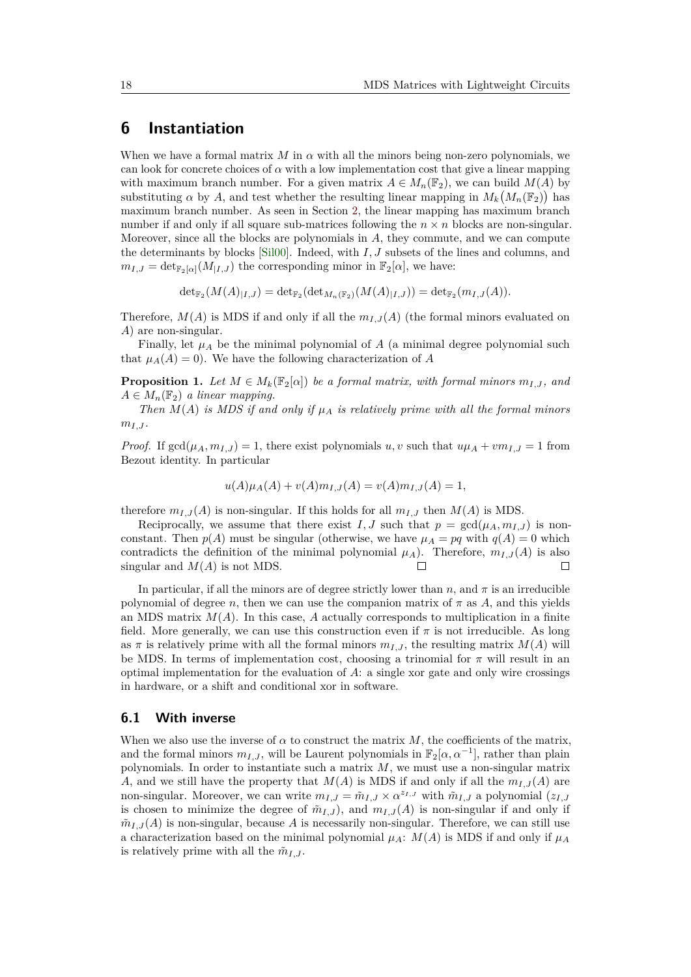## <span id="page-17-0"></span>**6 Instantiation**

When we have a formal matrix *M* in  $\alpha$  with all the minors being non-zero polynomials, we can look for concrete choices of  $\alpha$  with a low implementation cost that give a linear mapping with maximum branch number. For a given matrix  $A \in M_n(\mathbb{F}_2)$ , we can build  $M(A)$  by substituting  $\alpha$  by  $A$ , and test whether the resulting linear mapping in  $M_k(M_n(\mathbb{F}_2))$  has maximum branch number. As seen in Section [2,](#page-1-0) the linear mapping has maximum branch number if and only if all square sub-matrices following the  $n \times n$  blocks are non-singular. Moreover, since all the blocks are polynomials in *A*, they commute, and we can compute the determinants by blocks [\[Sil00\]](#page-22-12). Indeed, with *I, J* subsets of the lines and columns, and  $m_{I,J} = \det_{\mathbb{F}_2[\alpha]}(M_{|I,J})$  the corresponding minor in  $\mathbb{F}_2[\alpha]$ , we have:

$$
\det_{\mathbb{F}_2}(M(A)_{|I,J}) = \det_{\mathbb{F}_2}(\det_{M_n(\mathbb{F}_2)}(M(A)_{|I,J})) = \det_{\mathbb{F}_2}(m_{I,J}(A)).
$$

Therefore,  $M(A)$  is MDS if and only if all the  $m_I$ ,  $I(A)$  (the formal minors evaluated on *A*) are non-singular.

Finally, let  $\mu_A$  be the minimal polynomial of *A* (a minimal degree polynomial such that  $\mu_A(A) = 0$ ). We have the following characterization of *A* 

<span id="page-17-1"></span>**Proposition 1.** Let  $M \in M_k(\mathbb{F}_2[\alpha])$  be a formal matrix, with formal minors  $m_{I,J}$ , and  $A \in M_n(\mathbb{F}_2)$  *a linear mapping.* 

*Then*  $M(A)$  *is MDS if and only if*  $\mu_A$  *is relatively prime with all the formal minors*  $m_{I,J}$ .

*Proof.* If  $gcd(\mu_A, m_{I,J}) = 1$ , there exist polynomials *u, v* such that  $u\mu_A + v m_{I,J} = 1$  from Bezout identity. In particular

$$
u(A)\mu_A(A) + v(A)m_{I,J}(A) = v(A)m_{I,J}(A) = 1,
$$

therefore  $m_{I,J}(A)$  is non-singular. If this holds for all  $m_{I,J}$  then  $M(A)$  is MDS.

Reciprocally, we assume that there exist *I, J* such that  $p = \text{gcd}(\mu_A, m_{I,J})$  is nonconstant. Then  $p(A)$  must be singular (otherwise, we have  $\mu_A = pq$  with  $q(A) = 0$  which contradicts the definition of the minimal polynomial  $\mu_A$ ). Therefore,  $m_{I,J}(A)$  is also singular and  $M(A)$  is not MDS. П П

In particular, if all the minors are of degree strictly lower than  $n$ , and  $\pi$  is an irreducible polynomial of degree *n*, then we can use the companion matrix of  $\pi$  as  $A$ , and this yields an MDS matrix  $M(A)$ . In this case, A actually corresponds to multiplication in a finite field. More generally, we can use this construction even if  $\pi$  is not irreducible. As long as  $\pi$  is relatively prime with all the formal minors  $m_{I,J}$ , the resulting matrix  $M(A)$  will be MDS. In terms of implementation cost, choosing a trinomial for  $\pi$  will result in an optimal implementation for the evaluation of *A*: a single xor gate and only wire crossings in hardware, or a shift and conditional xor in software.

#### **6.1 With inverse**

When we also use the inverse of  $\alpha$  to construct the matrix  $M$ , the coefficients of the matrix, and the formal minors  $m_{I,J}$ , will be Laurent polynomials in  $\mathbb{F}_2[\alpha, \alpha^{-1}]$ , rather than plain polynomials. In order to instantiate such a matrix *M*, we must use a non-singular matrix *A*, and we still have the property that  $M(A)$  is MDS if and only if all the  $m<sub>I,J</sub>(A)$  are non-singular. Moreover, we can write  $m_{I,J} = \tilde{m}_{I,J} \times \alpha^{z_I, J}$  with  $\tilde{m}_{I,J}$  a polynomial  $(z_I, J)$ is chosen to minimize the degree of  $\tilde{m}_{I,J}$ , and  $m_{I,J}(A)$  is non-singular if and only if  $\tilde{m}_{I,J}(A)$  is non-singular, because A is necessarily non-singular. Therefore, we can still use a characterization based on the minimal polynomial  $\mu_A$ :  $M(A)$  is MDS if and only if  $\mu_A$ is relatively prime with all the  $\tilde{m}_{I,J}$ .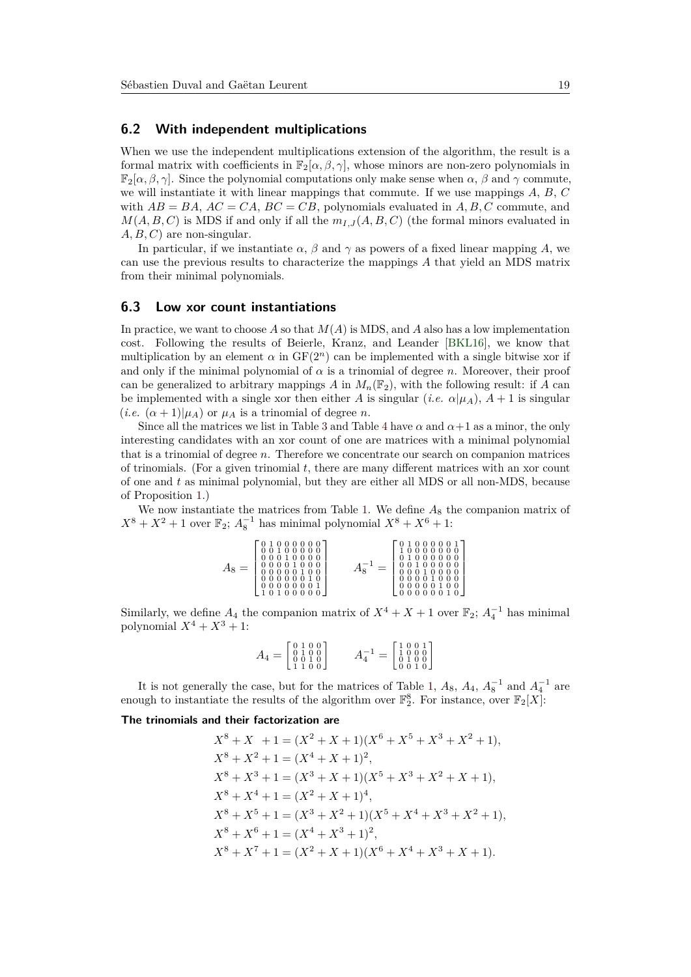#### <span id="page-18-0"></span>**6.2 With independent multiplications**

When we use the independent multiplications extension of the algorithm, the result is a formal matrix with coefficients in  $\mathbb{F}_2[\alpha,\beta,\gamma]$ , whose minors are non-zero polynomials in  $\mathbb{F}_2[\alpha,\beta,\gamma]$ . Since the polynomial computations only make sense when  $\alpha, \beta$  and  $\gamma$  commute, we will instantiate it with linear mappings that commute. If we use mappings *A*, *B*, *C* with  $AB = BA$ ,  $AC = CA$ ,  $BC = CB$ , polynomials evaluated in  $A, B, C$  commute, and  $M(A, B, C)$  is MDS if and only if all the  $m_I$ <sub>*J*</sub> $(A, B, C)$  (the formal minors evaluated in *A, B, C*) are non-singular.

In particular, if we instantiate  $\alpha$ ,  $\beta$  and  $\gamma$  as powers of a fixed linear mapping *A*, we can use the previous results to characterize the mappings *A* that yield an MDS matrix from their minimal polynomials.

#### **6.3 Low xor count instantiations**

In practice, we want to choose  $A$  so that  $M(A)$  is MDS, and  $A$  also has a low implementation cost. Following the results of Beierle, Kranz, and Leander [\[BKL16\]](#page-20-2), we know that multiplication by an element  $\alpha$  in  $GF(2<sup>n</sup>)$  can be implemented with a single bitwise xor if and only if the minimal polynomial of  $\alpha$  is a trinomial of degree *n*. Moreover, their proof can be generalized to arbitrary mappings *A* in  $M_n(\mathbb{F}_2)$ , with the following result: if *A* can be implemented with a single xor then either *A* is singular (*i.e.*  $\alpha|\mu_A$ ),  $A + 1$  is singular  $(i.e. \ (\alpha+1)|\mu_A)$  or  $\mu_A$  is a trinomial of degree *n*.

Since all the matrices we list in Table [3](#page-15-0) and Table [4](#page-16-0) have  $\alpha$  and  $\alpha+1$  as a minor, the only interesting candidates with an xor count of one are matrices with a minimal polynomial that is a trinomial of degree *n*. Therefore we concentrate our search on companion matrices of trinomials. (For a given trinomial *t*, there are many different matrices with an xor count of one and *t* as minimal polynomial, but they are either all MDS or all non-MDS, because of Proposition [1.](#page-17-1))

We now instantiate the matrices from Table [1.](#page-2-0) We define  $A_8$  the companion matrix of  $X^8 + X^2 + 1$  over  $\mathbb{F}_2$ ;  $A_8^{-1}$  has minimal polynomial  $X^8 + X^6 + 1$ :

| 000000<br>$00100000$<br>00010000<br>$000001000$<br>00000010<br>00000001<br>0100000 | 00001<br>0000000<br>$\cdot$ 0 0 0 0 0 0 $\cdot$<br>$\begin{smallmatrix} 0 & 0 & 1 & 0 & 0 & 0 & 0 & 0 \\ 0 & 0 & 0 & 1 & 0 & 0 & 0 & 0 \\ \end{smallmatrix}$<br>00001000<br>0000100<br>0000010 |  |
|------------------------------------------------------------------------------------|------------------------------------------------------------------------------------------------------------------------------------------------------------------------------------------------|--|
|------------------------------------------------------------------------------------|------------------------------------------------------------------------------------------------------------------------------------------------------------------------------------------------|--|

Similarly, we define  $A_4$  the companion matrix of  $X^4 + X + 1$  over  $\mathbb{F}_2$ ;  $A_4^{-1}$  has minimal polynomial  $X^4 + X^3 + 1$ :

$$
A_4 = \begin{bmatrix} 0 & 1 & 0 & 0 \\ 0 & 1 & 0 & 0 \\ 0 & 0 & 1 & 0 \\ 1 & 1 & 0 & 0 \end{bmatrix} \qquad A_4^{-1} = \begin{bmatrix} 1 & 0 & 0 & 1 \\ 1 & 0 & 0 & 0 \\ 0 & 1 & 0 & 0 \\ 0 & 0 & 1 & 0 \end{bmatrix}
$$

It is not generally the case, but for the matrices of Table [1,](#page-2-0)  $A_8$ ,  $A_4$ ,  $A_8^{-1}$  and  $A_4^{-1}$  are enough to instantiate the results of the algorithm over  $\mathbb{F}_2^8$ . For instance, over  $\mathbb{F}_2[X]$ :

#### **The trinomials and their factorization are**

$$
X^{8} + X + 1 = (X^{2} + X + 1)(X^{6} + X^{5} + X^{3} + X^{2} + 1),
$$
  
\n
$$
X^{8} + X^{2} + 1 = (X^{4} + X + 1)^{2},
$$
  
\n
$$
X^{8} + X^{3} + 1 = (X^{3} + X + 1)(X^{5} + X^{3} + X^{2} + X + 1),
$$
  
\n
$$
X^{8} + X^{4} + 1 = (X^{2} + X + 1)^{4},
$$
  
\n
$$
X^{8} + X^{5} + 1 = (X^{3} + X^{2} + 1)(X^{5} + X^{4} + X^{3} + X^{2} + 1),
$$
  
\n
$$
X^{8} + X^{6} + 1 = (X^{4} + X^{3} + 1)^{2},
$$
  
\n
$$
X^{8} + X^{7} + 1 = (X^{2} + X + 1)(X^{6} + X^{4} + X^{3} + X + 1).
$$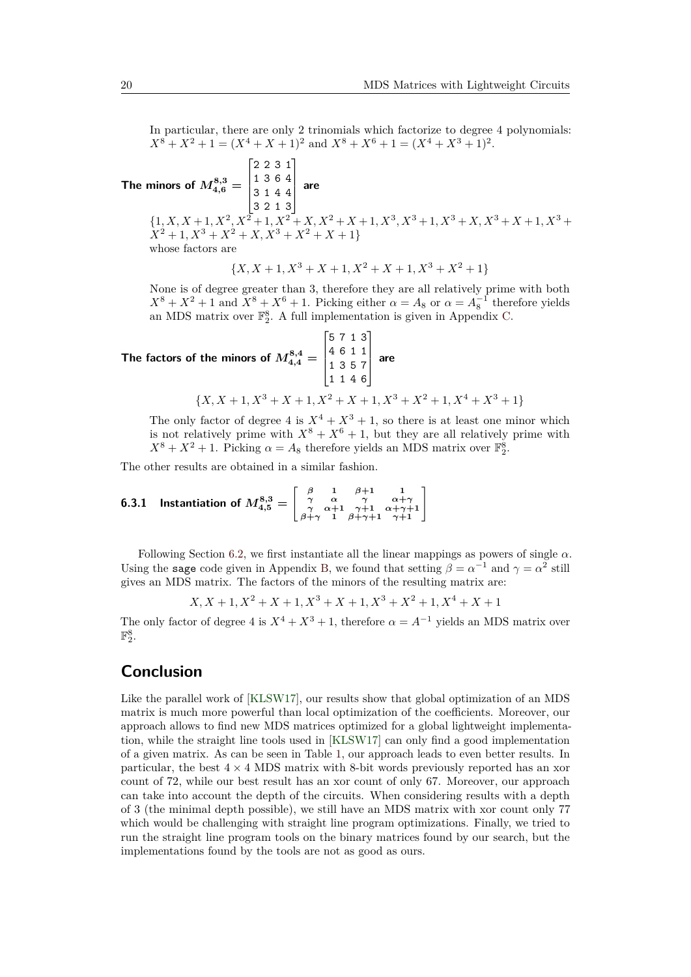In particular, there are only 2 trinomials which factorize to degree 4 polynomials:  $X^8 + X^2 + 1 = (X^4 + X + 1)^2$  and  $X^8 + X^6 + 1 = (X^4 + X^3 + 1)^2$ .

 $\bf{The}$  minors of  $M_{4,6}^{8,3} =$  $\lceil$  $\Big\}$ 2 2 3 1 1 3 6 4 3 1 4 4 3 2 1 3 1  $\overline{\phantom{a}}$ **are**  $\{1, X, X+1, X^2, X^2+1, X^2+X, X^2+X+1, X^3, X^3+1, X^3+X, X^3+X+1, X^3+X^2\}$  $X^2 + 1, X^3 + X^2 + X, X^3 + X^2 + X + 1$ whose factors are

$$
\{X, X+1, X^3+X+1, X^2+X+1, X^3+X^2+1\}
$$

None is of degree greater than 3, therefore they are all relatively prime with both  $X^8 + X^2 + 1$  and  $X^8 + X^6 + 1$ . Picking either  $\alpha = A_8$  or  $\alpha = A_8^{-1}$  therefore yields an MDS matrix over  $\mathbb{F}_2^8$ . A full implementation is given in Appendix [C.](#page-26-0)

The factors of the minors of  $M_{4,4}^{8,4} =$  $\lceil$  $\Big\}$ 5 7 1 3 4 6 1 1 1 3 5 7 1 1 4 6 1  $\overline{\phantom{a}}$ **are**  ${X, X + 1, X^3 + X + 1, X^2 + X + 1, X^3 + X^2 + 1, X^4 + X^3 + 1}$ 

The only factor of degree 4 is  $X^4 + X^3 + 1$ , so there is at least one minor which is not relatively prime with  $X^8 + X^6 + 1$ , but they are all relatively prime with  $X^8 + X^2 + 1$ . Picking  $\alpha = A_8$  therefore yields an MDS matrix over  $\mathbb{F}_2^8$ .

The other results are obtained in a similar fashion.

**6.3.1** Instantiation of  $M^{8,3}_{4,5} =$  $\left[\begin{array}{cccc} \beta & 1 & \beta+1 & 1 \\ \gamma & \alpha & \gamma & \alpha+\gamma \\ \gamma & \alpha+1 & \gamma+1 & \alpha+\gamma+1 \\ \beta+\gamma & 1 & \beta+\gamma+1 & \gamma+1 \end{array}\right]$ 

Following Section [6.2,](#page-18-0) we first instantiate all the linear mappings as powers of single  $\alpha$ . Using the sage code given in Appendix [B,](#page-25-0) we found that setting  $\beta = \alpha^{-1}$  and  $\gamma = \alpha^2$  still gives an MDS matrix. The factors of the minors of the resulting matrix are:

$$
X, X+1, X^2+X+1, X^3+X+1, X^3+X^2+1, X^4+X+1
$$

The only factor of degree 4 is  $X^4 + X^3 + 1$ , therefore  $\alpha = A^{-1}$  yields an MDS matrix over  $\mathbb{F}_2^8$ .

## **Conclusion**

Like the parallel work of [\[KLSW17\]](#page-22-8), our results show that global optimization of an MDS matrix is much more powerful than local optimization of the coefficients. Moreover, our approach allows to find new MDS matrices optimized for a global lightweight implementation, while the straight line tools used in [\[KLSW17\]](#page-22-8) can only find a good implementation of a given matrix. As can be seen in Table [1,](#page-2-0) our approach leads to even better results. In particular, the best  $4 \times 4$  MDS matrix with 8-bit words previously reported has an xor count of 72, while our best result has an xor count of only 67. Moreover, our approach can take into account the depth of the circuits. When considering results with a depth of 3 (the minimal depth possible), we still have an MDS matrix with xor count only 77 which would be challenging with straight line program optimizations. Finally, we tried to run the straight line program tools on the binary matrices found by our search, but the implementations found by the tools are not as good as ours.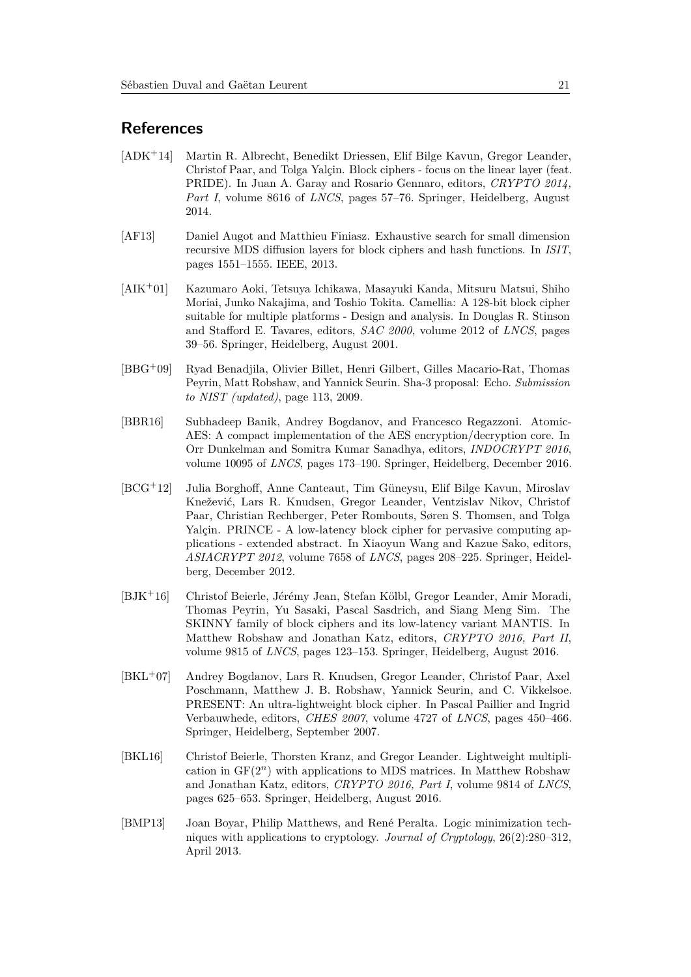## **References**

- <span id="page-20-6"></span>[ADK<sup>+</sup>14] Martin R. Albrecht, Benedikt Driessen, Elif Bilge Kavun, Gregor Leander, Christof Paar, and Tolga Yalçin. Block ciphers - focus on the linear layer (feat. PRIDE). In Juan A. Garay and Rosario Gennaro, editors, *CRYPTO 2014, Part I*, volume 8616 of *LNCS*, pages 57–76. Springer, Heidelberg, August 2014.
- <span id="page-20-1"></span>[AF13] Daniel Augot and Matthieu Finiasz. Exhaustive search for small dimension recursive MDS diffusion layers for block ciphers and hash functions. In *ISIT*, pages 1551–1555. IEEE, 2013.
- <span id="page-20-0"></span>[AIK<sup>+</sup>01] Kazumaro Aoki, Tetsuya Ichikawa, Masayuki Kanda, Mitsuru Matsui, Shiho Moriai, Junko Nakajima, and Toshio Tokita. Camellia: A 128-bit block cipher suitable for multiple platforms - Design and analysis. In Douglas R. Stinson and Stafford E. Tavares, editors, *SAC 2000*, volume 2012 of *LNCS*, pages 39–56. Springer, Heidelberg, August 2001.
- <span id="page-20-9"></span>[BBG<sup>+</sup>09] Ryad Benadjila, Olivier Billet, Henri Gilbert, Gilles Macario-Rat, Thomas Peyrin, Matt Robshaw, and Yannick Seurin. Sha-3 proposal: Echo. *Submission to NIST (updated)*, page 113, 2009.
- <span id="page-20-8"></span>[BBR16] Subhadeep Banik, Andrey Bogdanov, and Francesco Regazzoni. Atomic-AES: A compact implementation of the AES encryption/decryption core. In Orr Dunkelman and Somitra Kumar Sanadhya, editors, *INDOCRYPT 2016*, volume 10095 of *LNCS*, pages 173–190. Springer, Heidelberg, December 2016.
- <span id="page-20-4"></span>[BCG<sup>+</sup>12] Julia Borghoff, Anne Canteaut, Tim Güneysu, Elif Bilge Kavun, Miroslav Knežević, Lars R. Knudsen, Gregor Leander, Ventzislav Nikov, Christof Paar, Christian Rechberger, Peter Rombouts, Søren S. Thomsen, and Tolga Yalçin. PRINCE - A low-latency block cipher for pervasive computing applications - extended abstract. In Xiaoyun Wang and Kazue Sako, editors, *ASIACRYPT 2012*, volume 7658 of *LNCS*, pages 208–225. Springer, Heidelberg, December 2012.
- <span id="page-20-5"></span>[BJK<sup>+</sup>16] Christof Beierle, Jérémy Jean, Stefan Kölbl, Gregor Leander, Amir Moradi, Thomas Peyrin, Yu Sasaki, Pascal Sasdrich, and Siang Meng Sim. The SKINNY family of block ciphers and its low-latency variant MANTIS. In Matthew Robshaw and Jonathan Katz, editors, *CRYPTO 2016, Part II*, volume 9815 of *LNCS*, pages 123–153. Springer, Heidelberg, August 2016.
- <span id="page-20-3"></span>[BKL<sup>+</sup>07] Andrey Bogdanov, Lars R. Knudsen, Gregor Leander, Christof Paar, Axel Poschmann, Matthew J. B. Robshaw, Yannick Seurin, and C. Vikkelsoe. PRESENT: An ultra-lightweight block cipher. In Pascal Paillier and Ingrid Verbauwhede, editors, *CHES 2007*, volume 4727 of *LNCS*, pages 450–466. Springer, Heidelberg, September 2007.
- <span id="page-20-2"></span>[BKL16] Christof Beierle, Thorsten Kranz, and Gregor Leander. Lightweight multiplication in GF(2*<sup>n</sup>*) with applications to MDS matrices. In Matthew Robshaw and Jonathan Katz, editors, *CRYPTO 2016, Part I*, volume 9814 of *LNCS*, pages 625–653. Springer, Heidelberg, August 2016.
- <span id="page-20-7"></span>[BMP13] Joan Boyar, Philip Matthews, and René Peralta. Logic minimization techniques with applications to cryptology. *Journal of Cryptology*, 26(2):280–312, April 2013.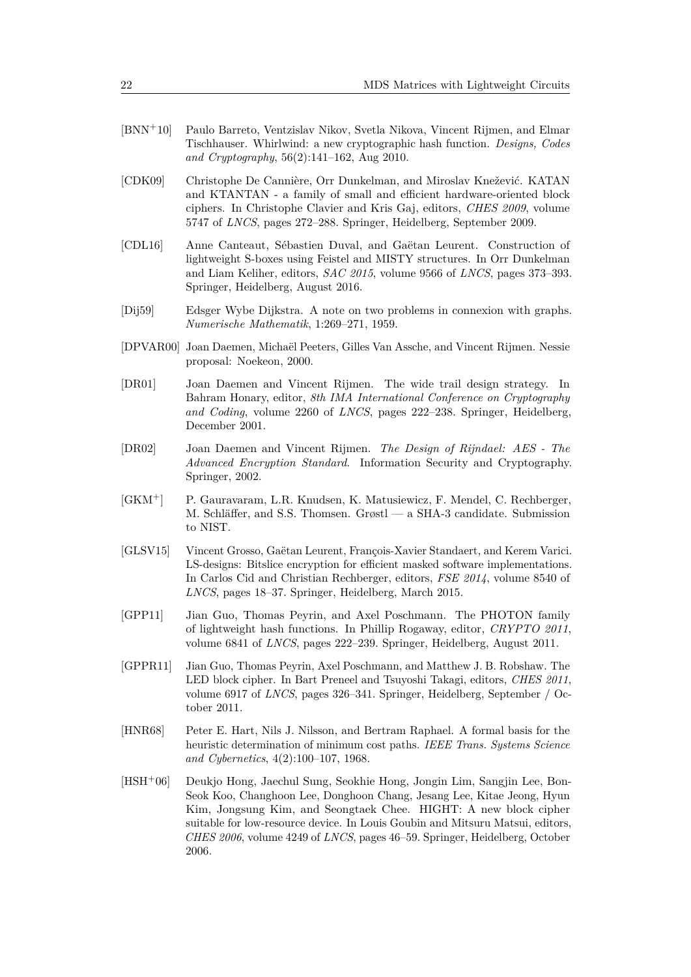- <span id="page-21-10"></span>[BNN<sup>+</sup>10] Paulo Barreto, Ventzislav Nikov, Svetla Nikova, Vincent Rijmen, and Elmar Tischhauser. Whirlwind: a new cryptographic hash function. *Designs, Codes and Cryptography*, 56(2):141–162, Aug 2010.
- <span id="page-21-6"></span>[CDK09] Christophe De Cannière, Orr Dunkelman, and Miroslav Knežević. KATAN and KTANTAN - a family of small and efficient hardware-oriented block ciphers. In Christophe Clavier and Kris Gaj, editors, *CHES 2009*, volume 5747 of *LNCS*, pages 272–288. Springer, Heidelberg, September 2009.
- <span id="page-21-3"></span>[CDL16] Anne Canteaut, Sébastien Duval, and Gaëtan Leurent. Construction of lightweight S-boxes using Feistel and MISTY structures. In Orr Dunkelman and Liam Keliher, editors, *SAC 2015*, volume 9566 of *LNCS*, pages 373–393. Springer, Heidelberg, August 2016.
- <span id="page-21-12"></span>[Dij59] Edsger Wybe Dijkstra. A note on two problems in connexion with graphs. *Numerische Mathematik*, 1:269–271, 1959.
- <span id="page-21-4"></span>[DPVAR00] Joan Daemen, Michaël Peeters, Gilles Van Assche, and Vincent Rijmen. Nessie proposal: Noekeon, 2000.
- <span id="page-21-1"></span>[DR01] Joan Daemen and Vincent Rijmen. The wide trail design strategy. In Bahram Honary, editor, *8th IMA International Conference on Cryptography and Coding*, volume 2260 of *LNCS*, pages 222–238. Springer, Heidelberg, December 2001.
- <span id="page-21-0"></span>[DR02] Joan Daemen and Vincent Rijmen. *The Design of Rijndael: AES - The Advanced Encryption Standard*. Information Security and Cryptography. Springer, 2002.
- <span id="page-21-2"></span>[GKM<sup>+</sup>] P. Gauravaram, L.R. Knudsen, K. Matusiewicz, F. Mendel, C. Rechberger, M. Schläffer, and S.S. Thomsen. Grøstl — a SHA-3 candidate. Submission to NIST.
- <span id="page-21-8"></span>[GLSV15] Vincent Grosso, Gaëtan Leurent, François-Xavier Standaert, and Kerem Varici. LS-designs: Bitslice encryption for efficient masked software implementations. In Carlos Cid and Christian Rechberger, editors, *FSE 2014*, volume 8540 of *LNCS*, pages 18–37. Springer, Heidelberg, March 2015.
- <span id="page-21-9"></span>[GPP11] Jian Guo, Thomas Peyrin, and Axel Poschmann. The PHOTON family of lightweight hash functions. In Phillip Rogaway, editor, *CRYPTO 2011*, volume 6841 of *LNCS*, pages 222–239. Springer, Heidelberg, August 2011.
- <span id="page-21-7"></span>[GPPR11] Jian Guo, Thomas Peyrin, Axel Poschmann, and Matthew J. B. Robshaw. The LED block cipher. In Bart Preneel and Tsuyoshi Takagi, editors, *CHES 2011*, volume 6917 of *LNCS*, pages 326–341. Springer, Heidelberg, September / October 2011.
- <span id="page-21-11"></span>[HNR68] Peter E. Hart, Nils J. Nilsson, and Bertram Raphael. A formal basis for the heuristic determination of minimum cost paths. *IEEE Trans. Systems Science and Cybernetics*, 4(2):100–107, 1968.
- <span id="page-21-5"></span>[HSH<sup>+</sup>06] Deukjo Hong, Jaechul Sung, Seokhie Hong, Jongin Lim, Sangjin Lee, Bon-Seok Koo, Changhoon Lee, Donghoon Chang, Jesang Lee, Kitae Jeong, Hyun Kim, Jongsung Kim, and Seongtaek Chee. HIGHT: A new block cipher suitable for low-resource device. In Louis Goubin and Mitsuru Matsui, editors, *CHES 2006*, volume 4249 of *LNCS*, pages 46–59. Springer, Heidelberg, October 2006.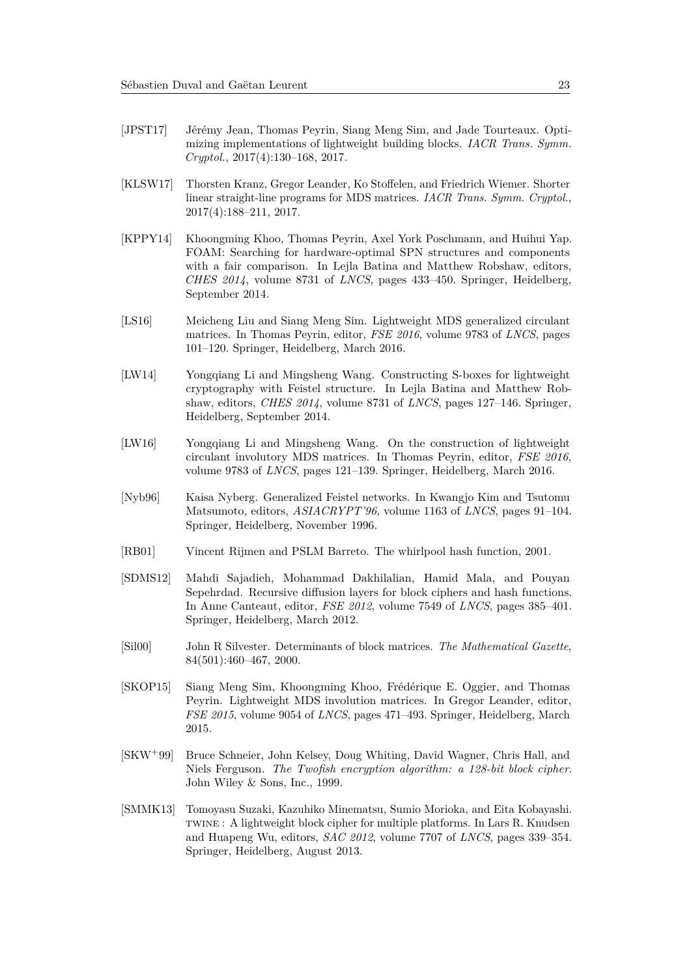- <span id="page-22-9"></span>[JPST17] Jérémy Jean, Thomas Peyrin, Siang Meng Sim, and Jade Tourteaux. Optimizing implementations of lightweight building blocks. *IACR Trans. Symm. Cryptol.*, 2017(4):130–168, 2017.
- <span id="page-22-8"></span>[KLSW17] Thorsten Kranz, Gregor Leander, Ko Stoffelen, and Friedrich Wiemer. Shorter linear straight-line programs for MDS matrices. *IACR Trans. Symm. Cryptol.*, 2017(4):188–211, 2017.
- <span id="page-22-10"></span>[KPPY14] Khoongming Khoo, Thomas Peyrin, Axel York Poschmann, and Huihui Yap. FOAM: Searching for hardware-optimal SPN structures and components with a fair comparison. In Lejla Batina and Matthew Robshaw, editors, *CHES 2014*, volume 8731 of *LNCS*, pages 433–450. Springer, Heidelberg, September 2014.
- <span id="page-22-5"></span>[LS16] Meicheng Liu and Siang Meng Sim. Lightweight MDS generalized circulant matrices. In Thomas Peyrin, editor, *FSE 2016*, volume 9783 of *LNCS*, pages 101–120. Springer, Heidelberg, March 2016.
- <span id="page-22-2"></span>[LW14] Yongqiang Li and Mingsheng Wang. Constructing S-boxes for lightweight cryptography with Feistel structure. In Lejla Batina and Matthew Robshaw, editors, *CHES 2014*, volume 8731 of *LNCS*, pages 127–146. Springer, Heidelberg, September 2014.
- <span id="page-22-6"></span>[LW16] Yongqiang Li and Mingsheng Wang. On the construction of lightweight circulant involutory MDS matrices. In Thomas Peyrin, editor, *FSE 2016*, volume 9783 of *LNCS*, pages 121–139. Springer, Heidelberg, March 2016.
- <span id="page-22-11"></span>[Nyb96] Kaisa Nyberg. Generalized Feistel networks. In Kwangjo Kim and Tsutomu Matsumoto, editors, *ASIACRYPT'96*, volume 1163 of *LNCS*, pages 91–104. Springer, Heidelberg, November 1996.
- <span id="page-22-1"></span>[RB01] Vincent Rijmen and PSLM Barreto. The whirlpool hash function, 2001.
- <span id="page-22-3"></span>[SDMS12] Mahdi Sajadieh, Mohammad Dakhilalian, Hamid Mala, and Pouyan Sepehrdad. Recursive diffusion layers for block ciphers and hash functions. In Anne Canteaut, editor, *FSE 2012*, volume 7549 of *LNCS*, pages 385–401. Springer, Heidelberg, March 2012.
- <span id="page-22-12"></span>[Sil00] John R Silvester. Determinants of block matrices. *The Mathematical Gazette*, 84(501):460–467, 2000.
- <span id="page-22-4"></span>[SKOP15] Siang Meng Sim, Khoongming Khoo, Frédérique E. Oggier, and Thomas Peyrin. Lightweight MDS involution matrices. In Gregor Leander, editor, *FSE 2015*, volume 9054 of *LNCS*, pages 471–493. Springer, Heidelberg, March 2015.
- <span id="page-22-0"></span>[SKW<sup>+</sup>99] Bruce Schneier, John Kelsey, Doug Whiting, David Wagner, Chris Hall, and Niels Ferguson. *The Twofish encryption algorithm: a 128-bit block cipher*. John Wiley & Sons, Inc., 1999.
- <span id="page-22-7"></span>[SMMK13] Tomoyasu Suzaki, Kazuhiko Minematsu, Sumio Morioka, and Eita Kobayashi. twine : A lightweight block cipher for multiple platforms. In Lars R. Knudsen and Huapeng Wu, editors, *SAC 2012*, volume 7707 of *LNCS*, pages 339–354. Springer, Heidelberg, August 2013.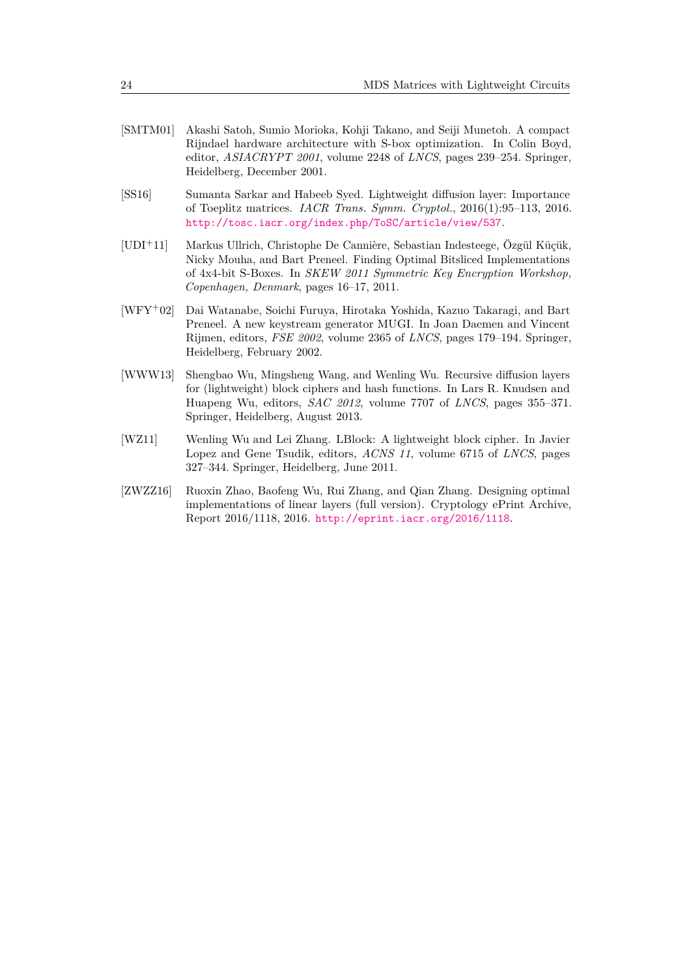- <span id="page-23-5"></span>[SMTM01] Akashi Satoh, Sumio Morioka, Kohji Takano, and Seiji Munetoh. A compact Rijndael hardware architecture with S-box optimization. In Colin Boyd, editor, *ASIACRYPT 2001*, volume 2248 of *LNCS*, pages 239–254. Springer, Heidelberg, December 2001.
- <span id="page-23-3"></span>[SS16] Sumanta Sarkar and Habeeb Syed. Lightweight diffusion layer: Importance of Toeplitz matrices. *IACR Trans. Symm. Cryptol.*, 2016(1):95–113, 2016. <http://tosc.iacr.org/index.php/ToSC/article/view/537>.
- <span id="page-23-1"></span>[UDI<sup>+</sup>11] Markus Ullrich, Christophe De Cannière, Sebastian Indesteege, Özgül Küçük, Nicky Mouha, and Bart Preneel. Finding Optimal Bitsliced Implementations of 4x4-bit S-Boxes. In *SKEW 2011 Symmetric Key Encryption Workshop, Copenhagen, Denmark*, pages 16–17, 2011.
- <span id="page-23-0"></span>[WFY<sup>+</sup>02] Dai Watanabe, Soichi Furuya, Hirotaka Yoshida, Kazuo Takaragi, and Bart Preneel. A new keystream generator MUGI. In Joan Daemen and Vincent Rijmen, editors, *FSE 2002*, volume 2365 of *LNCS*, pages 179–194. Springer, Heidelberg, February 2002.
- <span id="page-23-2"></span>[WWW13] Shengbao Wu, Mingsheng Wang, and Wenling Wu. Recursive diffusion layers for (lightweight) block ciphers and hash functions. In Lars R. Knudsen and Huapeng Wu, editors, *SAC 2012*, volume 7707 of *LNCS*, pages 355–371. Springer, Heidelberg, August 2013.
- <span id="page-23-4"></span>[WZ11] Wenling Wu and Lei Zhang. LBlock: A lightweight block cipher. In Javier Lopez and Gene Tsudik, editors, *ACNS 11*, volume 6715 of *LNCS*, pages 327–344. Springer, Heidelberg, June 2011.
- <span id="page-23-6"></span>[ZWZZ16] Ruoxin Zhao, Baofeng Wu, Rui Zhang, and Qian Zhang. Designing optimal implementations of linear layers (full version). Cryptology ePrint Archive, Report 2016/1118, 2016. <http://eprint.iacr.org/2016/1118>.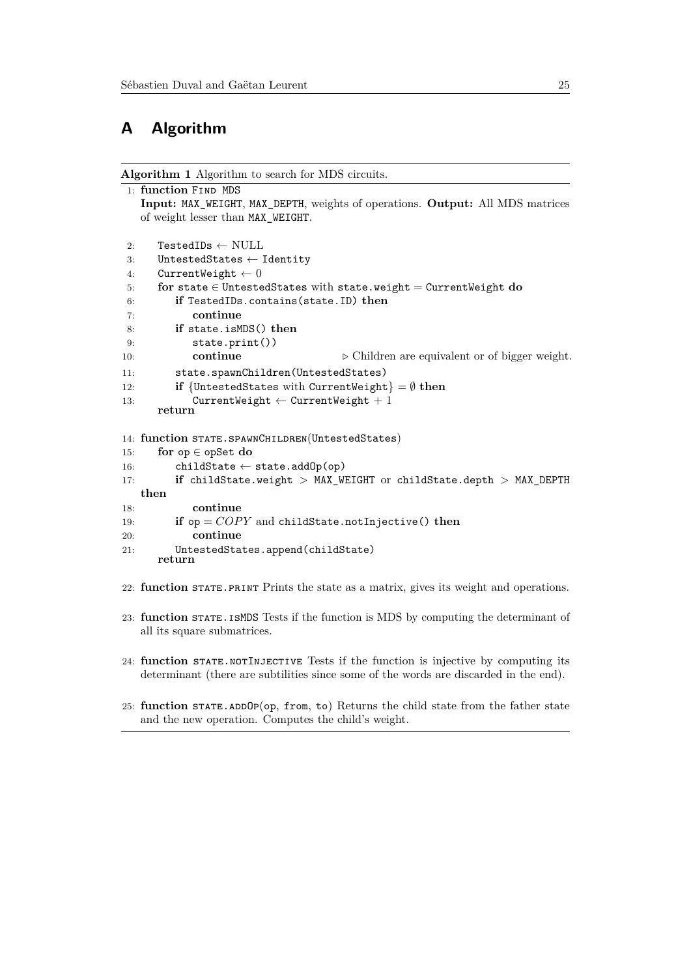## <span id="page-24-1"></span>**A Algorithm**

**Algorithm 1** Algorithm to search for MDS circuits.

```
1: function Find MDS
   Input: MAX_WEIGHT, MAX_DEPTH, weights of operations. Output: All MDS matrices
   of weight lesser than MAX_WEIGHT.
2: TestedIDs \leftarrow NULL
3: UntestedStates ← Identity
4: CurrentWeight \leftarrow 05: for state ∈ UntestedStates with state.weight = CurrentWeight do
6: if TestedIDs.contains(state.ID) then
7: continue
8: if state.isMDS() then
9: state.print())
10: continue ▷ Children are equivalent or of bigger weight.
11: state.spawnChildren(UntestedStates)
12: if {UntestedStates with CurrentWeight} = Ø then
13: CurrentWeight \leftarrow CurrentWeight + 1
     return
14: function STATE.SPAWNCHILDREN(UntestedStates)
15: for op ∈ opSet do
16: childState \leftarrow state.addOp(op)
17: if childState.weight > MAX_WEIGHT or childState.depth > MAX_DEPTH
   then
18: continue
19: if op = COPY and childState.notInjective() then
20: continue
21: UntestedStates.append(childState)
     return
22: function state.print Prints the state as a matrix, gives its weight and operations.
```
- 23: **function** state.isMDS Tests if the function is MDS by computing the determinant of all its square submatrices.
- 24: **function** state.notInjective Tests if the function is injective by computing its determinant (there are subtilities since some of the words are discarded in the end).
- 25: **function** STATE.ADDOP(op, from, to) Returns the child state from the father state and the new operation. Computes the child's weight.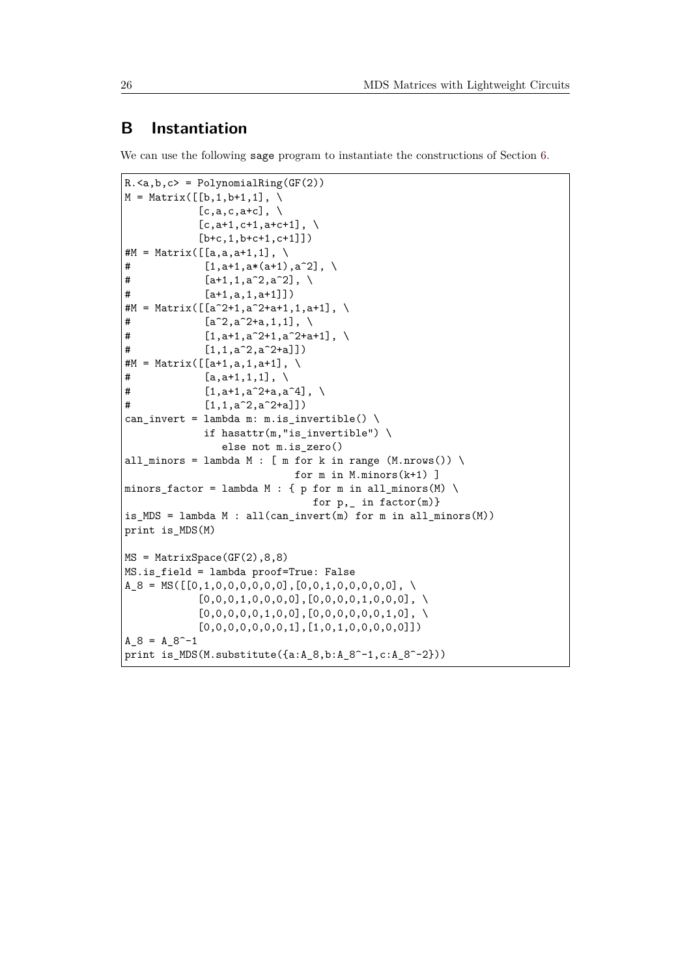## <span id="page-25-0"></span>**B Instantiation**

We can use the following sage program to instantiate the constructions of Section [6.](#page-17-0)

```
R.\langle a,b,c \rangle = PolynomialRing(GF(2))M = Matrix([b, 1, b+1, 1], \ \ \ \ \[c, a, c, a+c], \
             [c, a+1, c+1, a+c+1], \ \ \ \ \ \[b+c, 1, b+c+1, c+1]]#M = Matrix([a, a, a+1, 1], \ \ \ \ \# [1, a+1, a*(a+1), a^2], \
# [a+1,1,a^2, a^2], \
# [a+1,a,1,a+1]])
#M = Matrix([a^2+1,a^2+a+1,1,a+1], \ \ \ \ \\sharp [a<sup>^</sup>2,a<sup>^2+</sup>a,1,1], \
# [1,a+1,a^2+1,a^2+a+1], \
# [1,1,a^2,a^2+a]]
#M = Matrix([a+1,a,1,a+1], \ \ \ \ \\sharp [a, a+1, 1, 1], \
# [1,a+1,a<sup>2+</sup>a,a<sup>2</sup>4], \
# [1,1,a^2,a^2+a]]
can_invert = lambda m: m.is_invertible() \setminusif hasattr(m,"is_invertible") \
                 else not m.is_zero()
all_minors = lambda M : [m for k in range (M.nrows()) \setminusfor m in M.minors(k+1) ]
minors_factor = lambda M : \{ p \text{ for } m \text{ in all}_\text{minors}(M) \setminusfor p_{n} in factor(m)}
is_MDS = lambda M : all(can_invert(m) for m in all_iniors(M))print is_MDS(M)
MS = MatrixSpace(GF(2),8,8)
MS.is_field = lambda proof=True: False
A_8 = MS([0,1,0,0,0,0,0,0],[0,0,1,0,0,0,0,0], \ \n\big)[0,0,0,1,0,0,0,0],[0,0,0,0,1,0,0,0], \
             [0,0,0,0,0,1,0,0],[0,0,0,0,0,0,1,0], \
             [0,0,0,0,0,0,0,1],[1,0,1,0,0,0,0,0]])
A_8 = A_8^ -1print is_MDS(M.substitute({a:A_8,b:A_8^-1,c:A_8^-2}))
```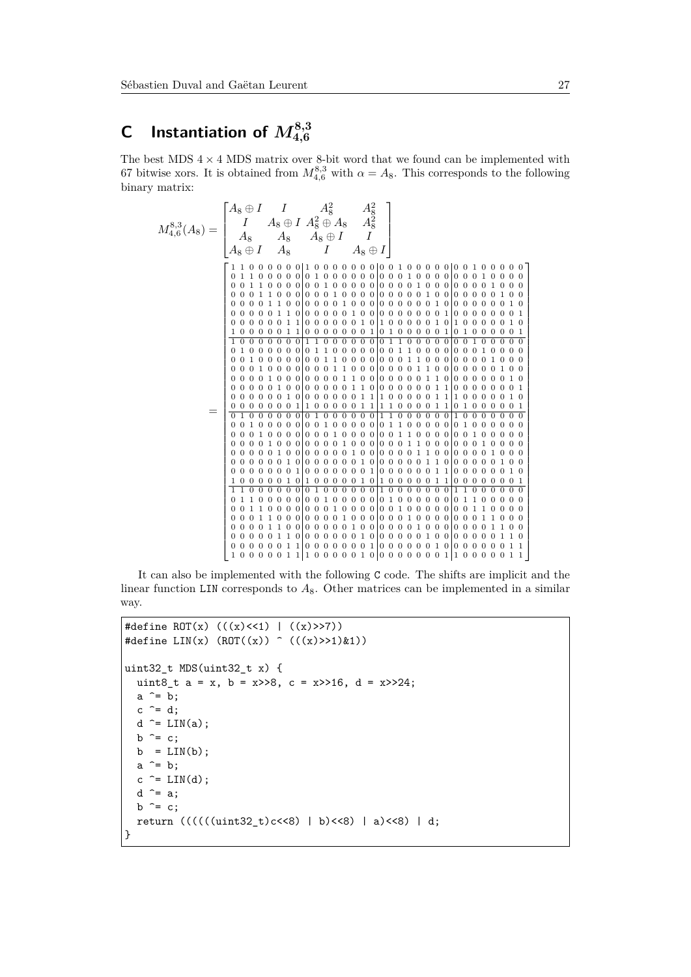# <span id="page-26-0"></span>**C** Instantiation of  $M_{4,6}^{8,3}$

The best MDS  $4 \times 4$  MDS matrix over 8-bit word that we found can be implemented with 67 bitwise xors. It is obtained from  $M_{4,6}^{8,3}$  with  $\alpha = A_8$ . This corresponds to the following binary matrix:



It can also be implemented with the following C code. The shifts are implicit and the linear function LIN corresponds to  $A_8$ . Other matrices can be implemented in a similar way.

```
#define ROT(x) (((x)<<1) | ((x)>>7))#define LIN(x) (ROT((x)) \cap ((x) >> 1)&1))
uint32 t MDS(uint32 t x) {
  uint8 t a = x, b = x>>8, c = x>>16, d = x>>24;
  a^{\sim} = b;
  c \stackrel{\frown}{=} d;
  d \frown = LIN(a);b \cong c;
  b = LIN(b);a^{\sim} = b;
  c \cong \text{LIN}(d);d \hat{=} a;b \cong c;
  return (((((\text{uint32}_t)c < 8) | b) < 8) | a) < 8) | d;}
```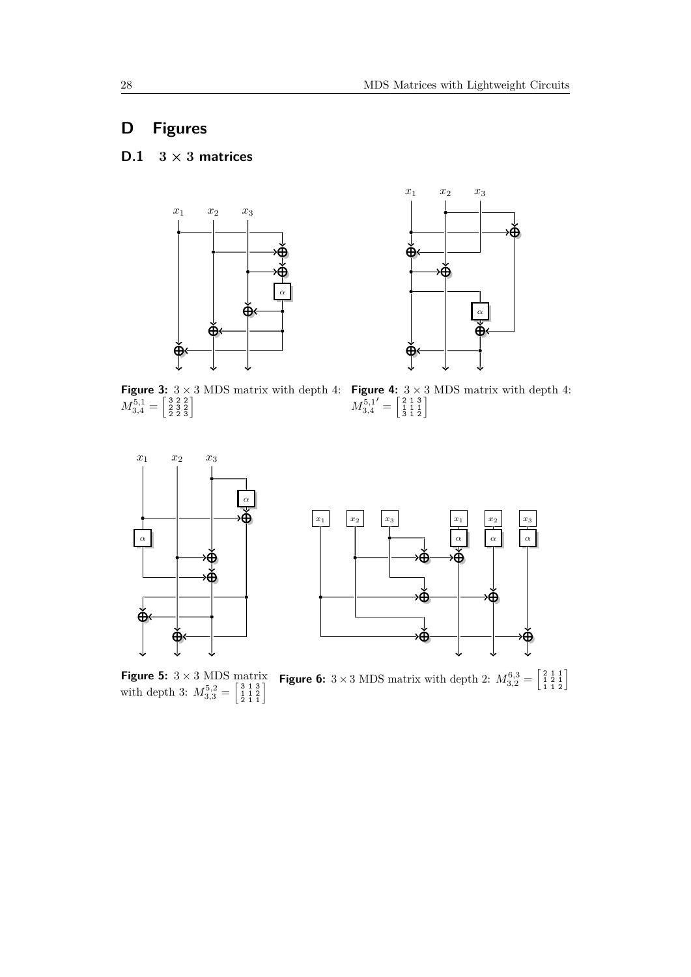# <span id="page-27-1"></span>**D Figures**

## <span id="page-27-0"></span>**D.1**  $3 \times 3$  **matrices**





**Figure 3:**  $3 \times 3$  MDS matrix with depth 4:  $M^{5,1}_{3,4}=\left[\begin{smallmatrix} 3 & 2 & 2 \ 2 & 3 & 2 \ 2 & 2 & 3 \end{smallmatrix}\right]$ 

**Figure 4:**  $3 \times 3$  MDS matrix with depth 4:  $M^{5,1}_{3,4}$  $' = \left[\begin{smallmatrix} 2 & 1 & 3 \\ 1 & 1 & 1 \\ 3 & 1 & 2 \end{smallmatrix}\right]$ 



**Figure 5:**  $3 \times 3$  MDS matrix with depth 3:  $M_{3,3}^{5,2} = \begin{bmatrix} 3 & 1 & 3 \\ 1 & 1 & 2 \\ 2 & 1 & 1 \end{bmatrix}$ **Figure 6:**  $3 \times 3$  MDS matrix with depth 2:  $M_{3,2}^{6,3} = \begin{bmatrix} 2 & 1 & 1 \\ 1 & 2 & 1 \\ 1 & 1 & 2 \end{bmatrix}$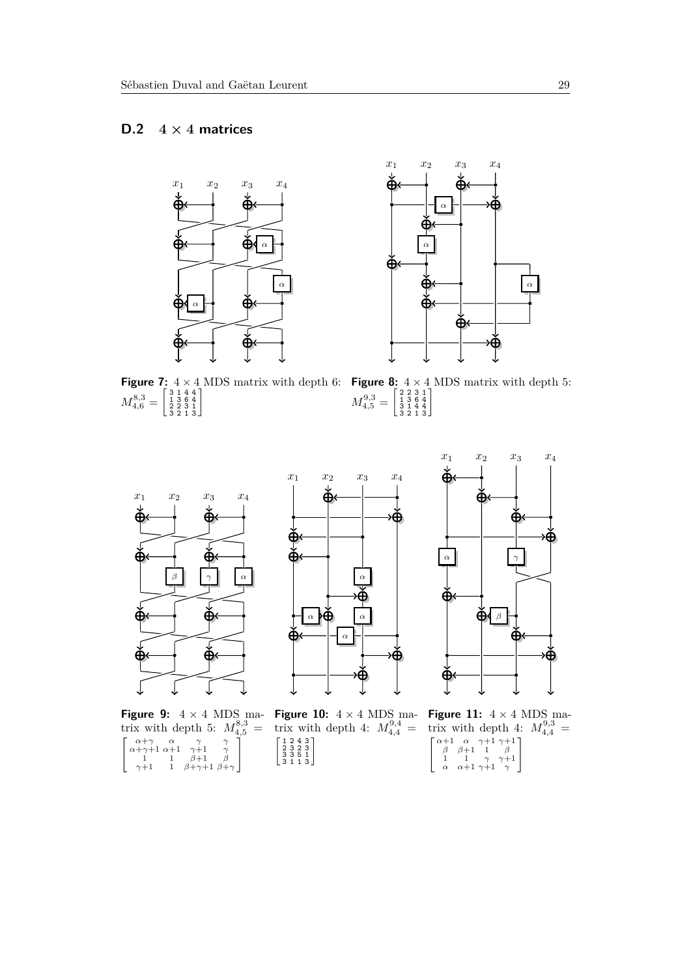## <span id="page-28-0"></span>**D.2**  $4 \times 4$  **matrices**





**Figure 7:**  $4 \times 4$  MDS matrix with depth 6:  $M_{4,6}^{8,3} = \left[\begin{smallmatrix} 3&1&4&4\ 1&3&6&4\ 2&2&3&1\ 3&2&1&3 \end{smallmatrix}\right]$ 

**Figure 8:**  $4 \times 4$  MDS matrix with depth 5:  $M_{4,5}^{9,3} = \left[\begin{smallmatrix} 2 & 2 & 3 & 1 \ 1 & 3 & 6 & 4 \ 3 & 1 & 4 & 4 \ 3 & 2 & 1 & 3 \end{smallmatrix}\right]$ 





**Figure 9:**  $4 \times 4$  MDS matrix with depth 5:  $M_{4,5}^{8,3}$  =  $\left[ \begin{array}{cccc} \alpha+\gamma & \alpha & \gamma & \gamma \\ \alpha+\gamma+1 & \alpha+1 & \gamma+1 & \gamma \\ 1 & 1 & \beta+1 & \beta \\ \gamma+1 & 1 & \beta+\gamma+1 & \beta+\gamma \end{array} \right.$ 1

**Figure 10:**  $4 \times 4$  MDS matrix with depth 4:  $M_{4,4}^{9,4} =$  $\left[\begin{array}{rrr} 1 & 2 & 4 & 3 \\ 2 & 3 & 2 & 3 \\ 3 & 3 & 5 & 1 \\ 3 & 1 & 1 & 3 \end{array}\right]$ 



**Figure 11:**  $4 \times 4$  MDS matrix with depth 4:  $M_{4,4}^{9,3}$  = " *α*+1 *α γ*+1 *γ*+1 *β β*+1 1 *β* 1 1 *γ γ*+1 *α α*+1 *γ*+1 *γ* 1